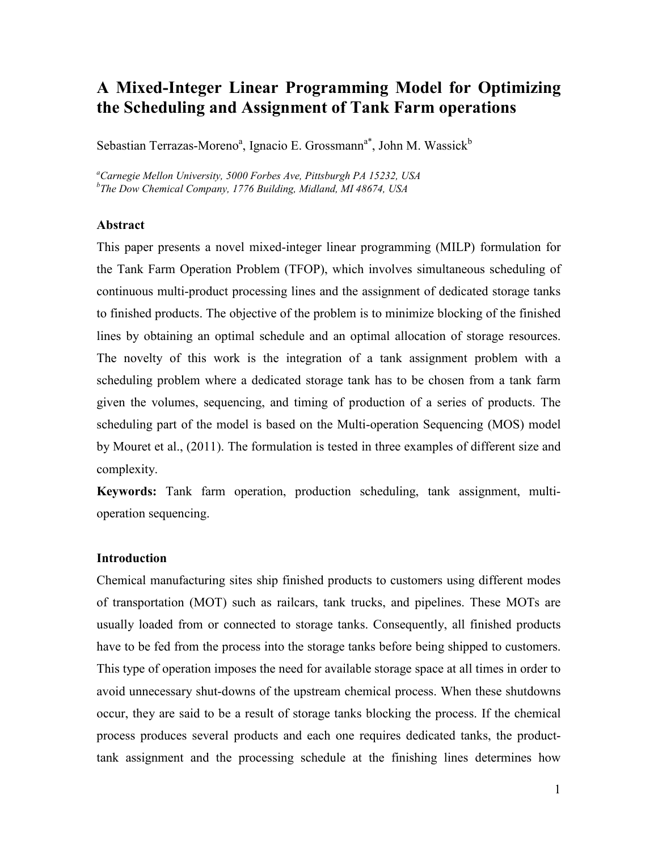# **A Mixed-Integer Linear Programming Model for Optimizing the Scheduling and Assignment of Tank Farm operations**

Sebastian Terrazas-Moreno<sup>a</sup>, Ignacio E. Grossmann<sup>a\*</sup>, John M. Wassick<sup>b</sup>

*a Carnegie Mellon University, 5000 Forbes Ave, Pittsburgh PA 15232, USA b The Dow Chemical Company, 1776 Building, Midland, MI 48674, USA* 

#### **Abstract**

This paper presents a novel mixed-integer linear programming (MILP) formulation for the Tank Farm Operation Problem (TFOP), which involves simultaneous scheduling of continuous multi-product processing lines and the assignment of dedicated storage tanks to finished products. The objective of the problem is to minimize blocking of the finished lines by obtaining an optimal schedule and an optimal allocation of storage resources. The novelty of this work is the integration of a tank assignment problem with a scheduling problem where a dedicated storage tank has to be chosen from a tank farm given the volumes, sequencing, and timing of production of a series of products. The scheduling part of the model is based on the Multi-operation Sequencing (MOS) model by Mouret et al., (2011). The formulation is tested in three examples of different size and complexity.

**Keywords:** Tank farm operation, production scheduling, tank assignment, multioperation sequencing.

#### **Introduction**

Chemical manufacturing sites ship finished products to customers using different modes of transportation (MOT) such as railcars, tank trucks, and pipelines. These MOTs are usually loaded from or connected to storage tanks. Consequently, all finished products have to be fed from the process into the storage tanks before being shipped to customers. This type of operation imposes the need for available storage space at all times in order to avoid unnecessary shut-downs of the upstream chemical process. When these shutdowns occur, they are said to be a result of storage tanks blocking the process. If the chemical process produces several products and each one requires dedicated tanks, the producttank assignment and the processing schedule at the finishing lines determines how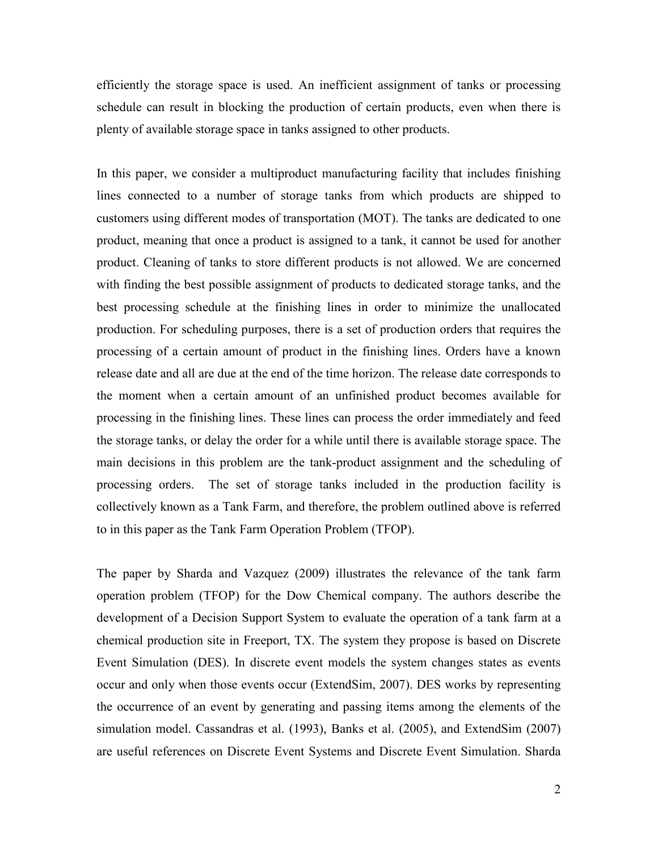efficiently the storage space is used. An inefficient assignment of tanks or processing schedule can result in blocking the production of certain products, even when there is plenty of available storage space in tanks assigned to other products.

In this paper, we consider a multiproduct manufacturing facility that includes finishing lines connected to a number of storage tanks from which products are shipped to customers using different modes of transportation (MOT). The tanks are dedicated to one product, meaning that once a product is assigned to a tank, it cannot be used for another product. Cleaning of tanks to store different products is not allowed. We are concerned with finding the best possible assignment of products to dedicated storage tanks, and the best processing schedule at the finishing lines in order to minimize the unallocated production. For scheduling purposes, there is a set of production orders that requires the processing of a certain amount of product in the finishing lines. Orders have a known release date and all are due at the end of the time horizon. The release date corresponds to the moment when a certain amount of an unfinished product becomes available for processing in the finishing lines. These lines can process the order immediately and feed the storage tanks, or delay the order for a while until there is available storage space. The main decisions in this problem are the tank-product assignment and the scheduling of processing orders. The set of storage tanks included in the production facility is collectively known as a Tank Farm, and therefore, the problem outlined above is referred to in this paper as the Tank Farm Operation Problem (TFOP).

The paper by Sharda and Vazquez (2009) illustrates the relevance of the tank farm operation problem (TFOP) for the Dow Chemical company. The authors describe the development of a Decision Support System to evaluate the operation of a tank farm at a chemical production site in Freeport, TX. The system they propose is based on Discrete Event Simulation (DES). In discrete event models the system changes states as events occur and only when those events occur (ExtendSim, 2007). DES works by representing the occurrence of an event by generating and passing items among the elements of the simulation model. Cassandras et al. (1993), Banks et al. (2005), and ExtendSim (2007) are useful references on Discrete Event Systems and Discrete Event Simulation. Sharda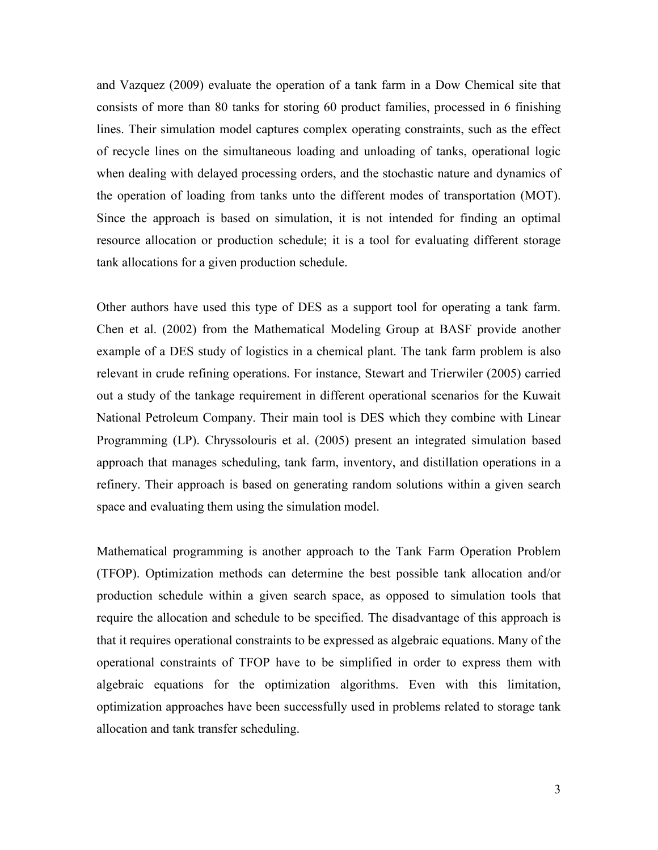and Vazquez (2009) evaluate the operation of a tank farm in a Dow Chemical site that consists of more than 80 tanks for storing 60 product families, processed in 6 finishing lines. Their simulation model captures complex operating constraints, such as the effect of recycle lines on the simultaneous loading and unloading of tanks, operational logic when dealing with delayed processing orders, and the stochastic nature and dynamics of the operation of loading from tanks unto the different modes of transportation (MOT). Since the approach is based on simulation, it is not intended for finding an optimal resource allocation or production schedule; it is a tool for evaluating different storage tank allocations for a given production schedule.

Other authors have used this type of DES as a support tool for operating a tank farm. Chen et al. (2002) from the Mathematical Modeling Group at BASF provide another example of a DES study of logistics in a chemical plant. The tank farm problem is also relevant in crude refining operations. For instance, Stewart and Trierwiler (2005) carried out a study of the tankage requirement in different operational scenarios for the Kuwait National Petroleum Company. Their main tool is DES which they combine with Linear Programming (LP). Chryssolouris et al. (2005) present an integrated simulation based approach that manages scheduling, tank farm, inventory, and distillation operations in a refinery. Their approach is based on generating random solutions within a given search space and evaluating them using the simulation model.

Mathematical programming is another approach to the Tank Farm Operation Problem (TFOP). Optimization methods can determine the best possible tank allocation and/or production schedule within a given search space, as opposed to simulation tools that require the allocation and schedule to be specified. The disadvantage of this approach is that it requires operational constraints to be expressed as algebraic equations. Many of the operational constraints of TFOP have to be simplified in order to express them with algebraic equations for the optimization algorithms. Even with this limitation, optimization approaches have been successfully used in problems related to storage tank allocation and tank transfer scheduling.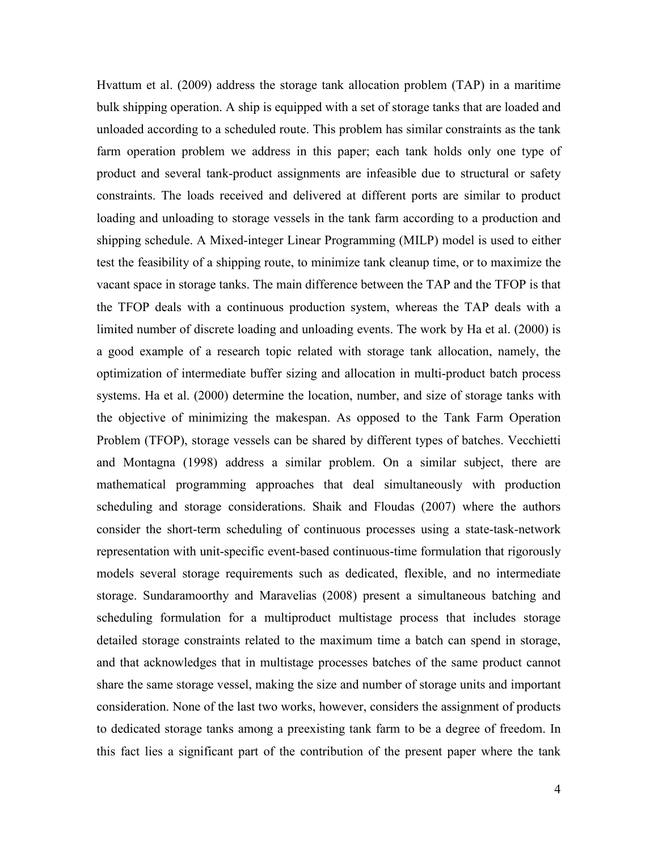Hvattum et al. (2009) address the storage tank allocation problem (TAP) in a maritime bulk shipping operation. A ship is equipped with a set of storage tanks that are loaded and unloaded according to a scheduled route. This problem has similar constraints as the tank farm operation problem we address in this paper; each tank holds only one type of product and several tank-product assignments are infeasible due to structural or safety constraints. The loads received and delivered at different ports are similar to product loading and unloading to storage vessels in the tank farm according to a production and shipping schedule. A Mixed-integer Linear Programming (MILP) model is used to either test the feasibility of a shipping route, to minimize tank cleanup time, or to maximize the vacant space in storage tanks. The main difference between the TAP and the TFOP is that the TFOP deals with a continuous production system, whereas the TAP deals with a limited number of discrete loading and unloading events. The work by Ha et al. (2000) is a good example of a research topic related with storage tank allocation, namely, the optimization of intermediate buffer sizing and allocation in multi-product batch process systems. Ha et al. (2000) determine the location, number, and size of storage tanks with the objective of minimizing the makespan. As opposed to the Tank Farm Operation Problem (TFOP), storage vessels can be shared by different types of batches. Vecchietti and Montagna (1998) address a similar problem. On a similar subject, there are mathematical programming approaches that deal simultaneously with production scheduling and storage considerations. Shaik and Floudas (2007) where the authors consider the short-term scheduling of continuous processes using a state-task-network representation with unit-specific event-based continuous-time formulation that rigorously models several storage requirements such as dedicated, flexible, and no intermediate storage. Sundaramoorthy and Maravelias (2008) present a simultaneous batching and scheduling formulation for a multiproduct multistage process that includes storage detailed storage constraints related to the maximum time a batch can spend in storage, and that acknowledges that in multistage processes batches of the same product cannot share the same storage vessel, making the size and number of storage units and important consideration. None of the last two works, however, considers the assignment of products to dedicated storage tanks among a preexisting tank farm to be a degree of freedom. In this fact lies a significant part of the contribution of the present paper where the tank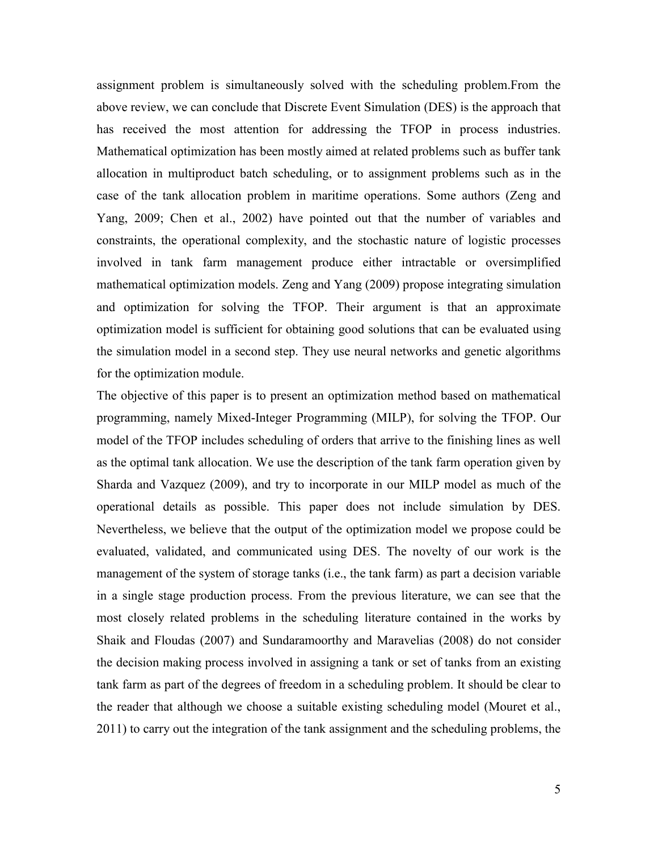assignment problem is simultaneously solved with the scheduling problem.From the above review, we can conclude that Discrete Event Simulation (DES) is the approach that has received the most attention for addressing the TFOP in process industries. Mathematical optimization has been mostly aimed at related problems such as buffer tank allocation in multiproduct batch scheduling, or to assignment problems such as in the case of the tank allocation problem in maritime operations. Some authors (Zeng and Yang, 2009; Chen et al., 2002) have pointed out that the number of variables and constraints, the operational complexity, and the stochastic nature of logistic processes involved in tank farm management produce either intractable or oversimplified mathematical optimization models. Zeng and Yang (2009) propose integrating simulation and optimization for solving the TFOP. Their argument is that an approximate optimization model is sufficient for obtaining good solutions that can be evaluated using the simulation model in a second step. They use neural networks and genetic algorithms for the optimization module.

The objective of this paper is to present an optimization method based on mathematical programming, namely Mixed-Integer Programming (MILP), for solving the TFOP. Our model of the TFOP includes scheduling of orders that arrive to the finishing lines as well as the optimal tank allocation. We use the description of the tank farm operation given by Sharda and Vazquez (2009), and try to incorporate in our MILP model as much of the operational details as possible. This paper does not include simulation by DES. Nevertheless, we believe that the output of the optimization model we propose could be evaluated, validated, and communicated using DES. The novelty of our work is the management of the system of storage tanks (i.e., the tank farm) as part a decision variable in a single stage production process. From the previous literature, we can see that the most closely related problems in the scheduling literature contained in the works by Shaik and Floudas (2007) and Sundaramoorthy and Maravelias (2008) do not consider the decision making process involved in assigning a tank or set of tanks from an existing tank farm as part of the degrees of freedom in a scheduling problem. It should be clear to the reader that although we choose a suitable existing scheduling model (Mouret et al., 2011) to carry out the integration of the tank assignment and the scheduling problems, the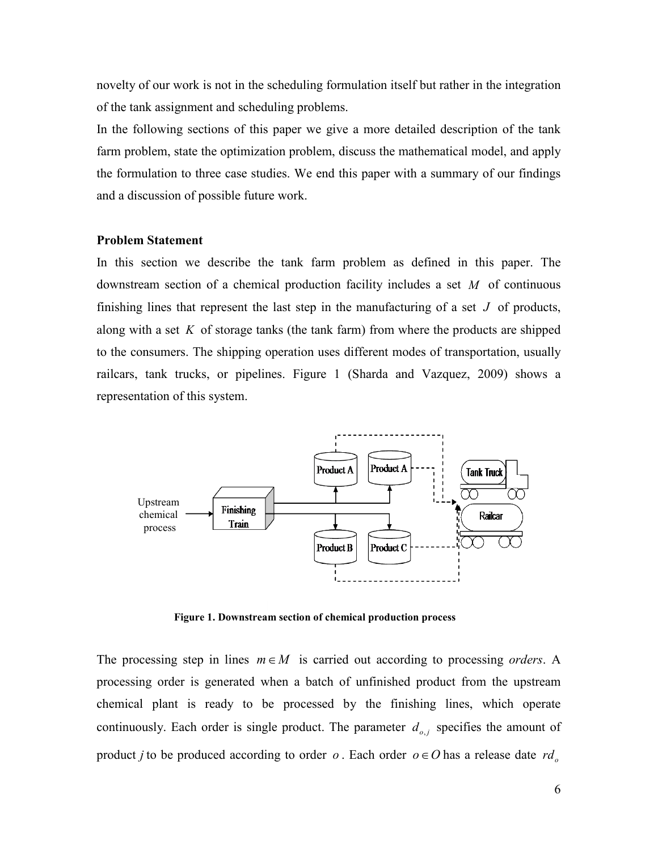novelty of our work is not in the scheduling formulation itself but rather in the integration of the tank assignment and scheduling problems.

In the following sections of this paper we give a more detailed description of the tank farm problem, state the optimization problem, discuss the mathematical model, and apply the formulation to three case studies. We end this paper with a summary of our findings and a discussion of possible future work.

#### **Problem Statement**

In this section we describe the tank farm problem as defined in this paper. The downstream section of a chemical production facility includes a set *M* of continuous finishing lines that represent the last step in the manufacturing of a set *J* of products, along with a set *K* of storage tanks (the tank farm) from where the products are shipped to the consumers. The shipping operation uses different modes of transportation, usually railcars, tank trucks, or pipelines. Figure 1 (Sharda and Vazquez, 2009) shows a representation of this system.



**Figure 1. Downstream section of chemical production process**

The processing step in lines *m*∈*M* is carried out according to processing *orders*. A processing order is generated when a batch of unfinished product from the upstream chemical plant is ready to be processed by the finishing lines, which operate continuously. Each order is single product. The parameter  $d_{\rho i}$  specifies the amount of product *j* to be produced according to order *o*. Each order  $o ∈ O$  has a release date  $rd_o$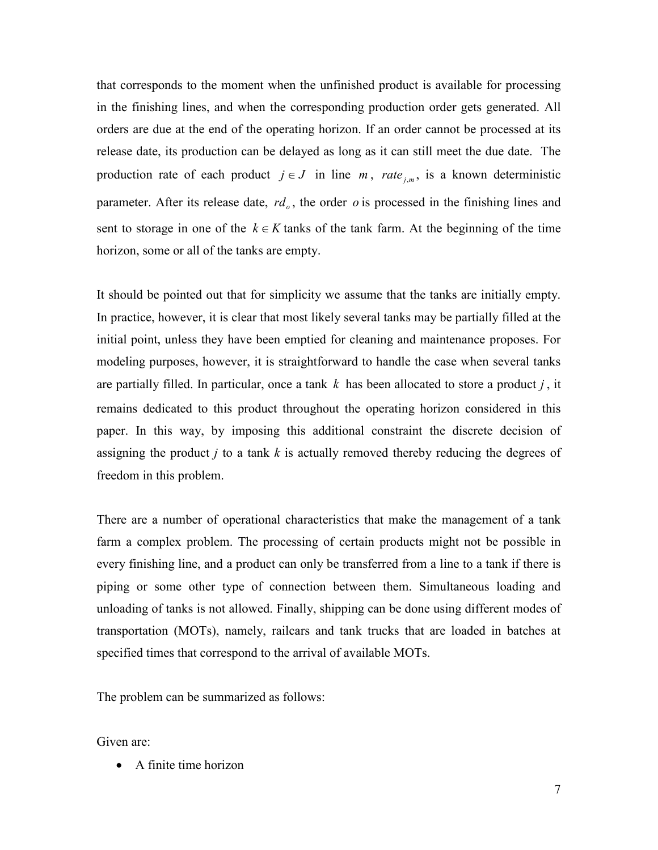that corresponds to the moment when the unfinished product is available for processing in the finishing lines, and when the corresponding production order gets generated. All orders are due at the end of the operating horizon. If an order cannot be processed at its release date, its production can be delayed as long as it can still meet the due date. The production rate of each product  $j \in J$  in line *m*, *rate*  $_{i,m}$ , is a known deterministic parameter. After its release date,  $rd_a$ , the order  $o$  is processed in the finishing lines and sent to storage in one of the  $k \in K$  tanks of the tank farm. At the beginning of the time horizon, some or all of the tanks are empty.

It should be pointed out that for simplicity we assume that the tanks are initially empty. In practice, however, it is clear that most likely several tanks may be partially filled at the initial point, unless they have been emptied for cleaning and maintenance proposes. For modeling purposes, however, it is straightforward to handle the case when several tanks are partially filled. In particular, once a tank *k* has been allocated to store a product *j* , it remains dedicated to this product throughout the operating horizon considered in this paper. In this way, by imposing this additional constraint the discrete decision of assigning the product *j* to a tank *k* is actually removed thereby reducing the degrees of freedom in this problem.

There are a number of operational characteristics that make the management of a tank farm a complex problem. The processing of certain products might not be possible in every finishing line, and a product can only be transferred from a line to a tank if there is piping or some other type of connection between them. Simultaneous loading and unloading of tanks is not allowed. Finally, shipping can be done using different modes of transportation (MOTs), namely, railcars and tank trucks that are loaded in batches at specified times that correspond to the arrival of available MOTs.

The problem can be summarized as follows:

Given are:

• A finite time horizon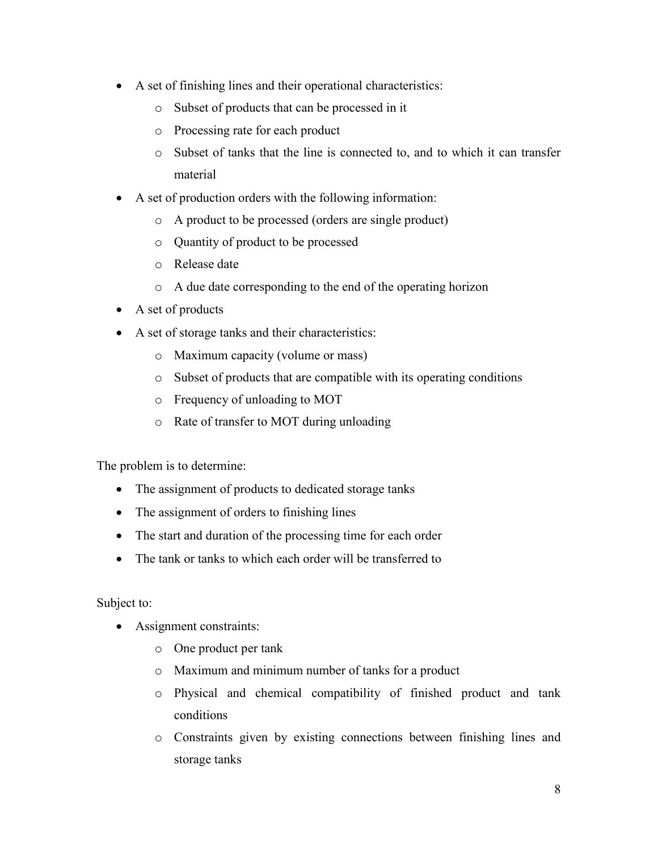- A set of finishing lines and their operational characteristics:
	- o Subset of products that can be processed in it
	- o Processing rate for each product
	- o Subset of tanks that the line is connected to, and to which it can transfer material
- A set of production orders with the following information:
	- o A product to be processed (orders are single product)
	- o Quantity of product to be processed
	- o Release date
	- o A due date corresponding to the end of the operating horizon
- A set of products
- A set of storage tanks and their characteristics:
	- o Maximum capacity (volume or mass)
	- o Subset of products that are compatible with its operating conditions
	- o Frequency of unloading to MOT
	- o Rate of transfer to MOT during unloading

The problem is to determine:

- The assignment of products to dedicated storage tanks
- The assignment of orders to finishing lines
- The start and duration of the processing time for each order
- The tank or tanks to which each order will be transferred to

## Subject to:

- Assignment constraints:
	- o One product per tank
	- o Maximum and minimum number of tanks for a product
	- o Physical and chemical compatibility of finished product and tank conditions
	- o Constraints given by existing connections between finishing lines and storage tanks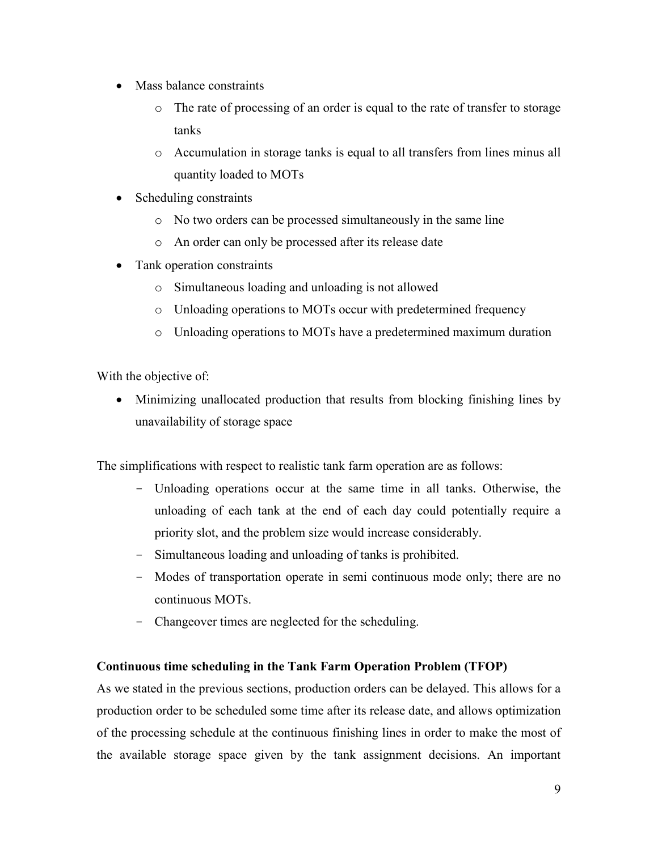- Mass balance constraints
	- o The rate of processing of an order is equal to the rate of transfer to storage tanks
	- o Accumulation in storage tanks is equal to all transfers from lines minus all quantity loaded to MOTs
- Scheduling constraints
	- o No two orders can be processed simultaneously in the same line
	- o An order can only be processed after its release date
- Tank operation constraints
	- o Simultaneous loading and unloading is not allowed
	- o Unloading operations to MOTs occur with predetermined frequency
	- o Unloading operations to MOTs have a predetermined maximum duration

With the objective of:

• Minimizing unallocated production that results from blocking finishing lines by unavailability of storage space

The simplifications with respect to realistic tank farm operation are as follows:

- Unloading operations occur at the same time in all tanks. Otherwise, the unloading of each tank at the end of each day could potentially require a priority slot, and the problem size would increase considerably.
- Simultaneous loading and unloading of tanks is prohibited.
- Modes of transportation operate in semi continuous mode only; there are no continuous MOTs.
- Changeover times are neglected for the scheduling.

## **Continuous time scheduling in the Tank Farm Operation Problem (TFOP)**

As we stated in the previous sections, production orders can be delayed. This allows for a production order to be scheduled some time after its release date, and allows optimization of the processing schedule at the continuous finishing lines in order to make the most of the available storage space given by the tank assignment decisions. An important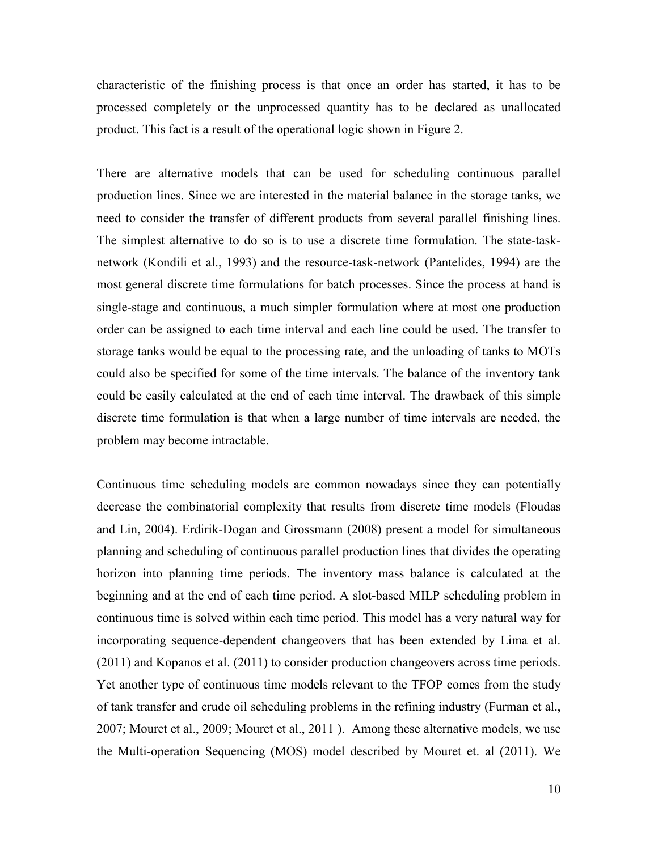characteristic of the finishing process is that once an order has started, it has to be processed completely or the unprocessed quantity has to be declared as unallocated product. This fact is a result of the operational logic shown in Figure 2.

There are alternative models that can be used for scheduling continuous parallel production lines. Since we are interested in the material balance in the storage tanks, we need to consider the transfer of different products from several parallel finishing lines. The simplest alternative to do so is to use a discrete time formulation. The state-tasknetwork (Kondili et al., 1993) and the resource-task-network (Pantelides, 1994) are the most general discrete time formulations for batch processes. Since the process at hand is single-stage and continuous, a much simpler formulation where at most one production order can be assigned to each time interval and each line could be used. The transfer to storage tanks would be equal to the processing rate, and the unloading of tanks to MOTs could also be specified for some of the time intervals. The balance of the inventory tank could be easily calculated at the end of each time interval. The drawback of this simple discrete time formulation is that when a large number of time intervals are needed, the problem may become intractable.

Continuous time scheduling models are common nowadays since they can potentially decrease the combinatorial complexity that results from discrete time models (Floudas and Lin, 2004). Erdirik-Dogan and Grossmann (2008) present a model for simultaneous planning and scheduling of continuous parallel production lines that divides the operating horizon into planning time periods. The inventory mass balance is calculated at the beginning and at the end of each time period. A slot-based MILP scheduling problem in continuous time is solved within each time period. This model has a very natural way for incorporating sequence-dependent changeovers that has been extended by Lima et al. (2011) and Kopanos et al. (2011) to consider production changeovers across time periods. Yet another type of continuous time models relevant to the TFOP comes from the study of tank transfer and crude oil scheduling problems in the refining industry (Furman et al., 2007; Mouret et al., 2009; Mouret et al., 2011 ). Among these alternative models, we use the Multi-operation Sequencing (MOS) model described by Mouret et. al (2011). We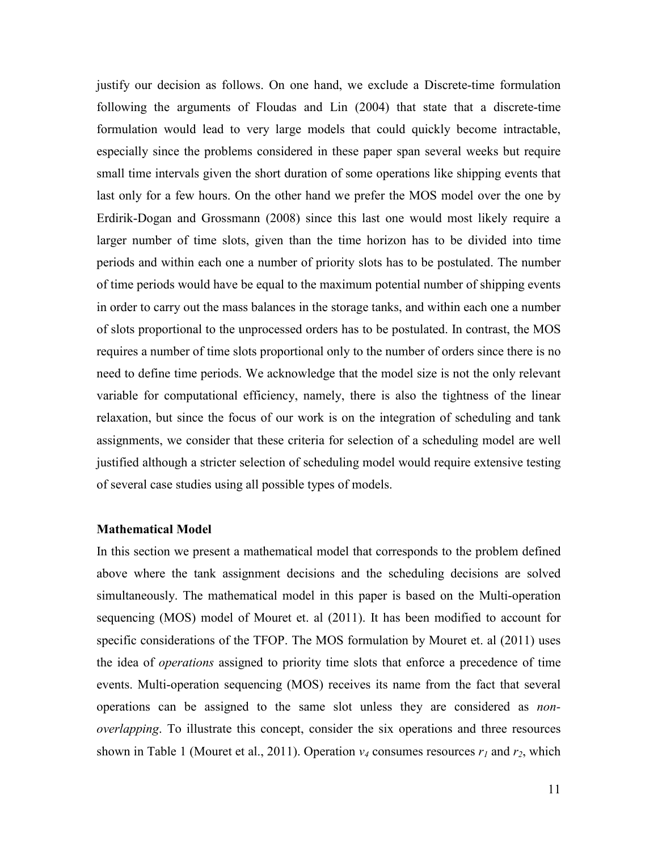justify our decision as follows. On one hand, we exclude a Discrete-time formulation following the arguments of Floudas and Lin (2004) that state that a discrete-time formulation would lead to very large models that could quickly become intractable, especially since the problems considered in these paper span several weeks but require small time intervals given the short duration of some operations like shipping events that last only for a few hours. On the other hand we prefer the MOS model over the one by Erdirik-Dogan and Grossmann (2008) since this last one would most likely require a larger number of time slots, given than the time horizon has to be divided into time periods and within each one a number of priority slots has to be postulated. The number of time periods would have be equal to the maximum potential number of shipping events in order to carry out the mass balances in the storage tanks, and within each one a number of slots proportional to the unprocessed orders has to be postulated. In contrast, the MOS requires a number of time slots proportional only to the number of orders since there is no need to define time periods. We acknowledge that the model size is not the only relevant variable for computational efficiency, namely, there is also the tightness of the linear relaxation, but since the focus of our work is on the integration of scheduling and tank assignments, we consider that these criteria for selection of a scheduling model are well justified although a stricter selection of scheduling model would require extensive testing of several case studies using all possible types of models.

#### **Mathematical Model**

In this section we present a mathematical model that corresponds to the problem defined above where the tank assignment decisions and the scheduling decisions are solved simultaneously. The mathematical model in this paper is based on the Multi-operation sequencing (MOS) model of Mouret et. al (2011). It has been modified to account for specific considerations of the TFOP. The MOS formulation by Mouret et. al (2011) uses the idea of *operations* assigned to priority time slots that enforce a precedence of time events. Multi-operation sequencing (MOS) receives its name from the fact that several operations can be assigned to the same slot unless they are considered as *nonoverlapping*. To illustrate this concept, consider the six operations and three resources shown in Table 1 (Mouret et al., 2011). Operation  $v_4$  consumes resources  $r_1$  and  $r_2$ , which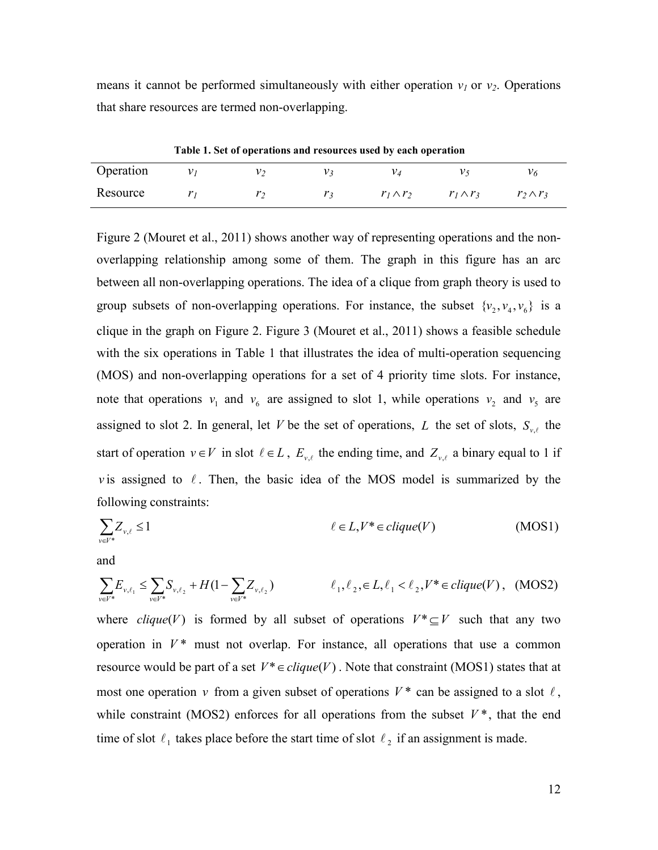means it cannot be performed simultaneously with either operation  $v_1$  or  $v_2$ . Operations that share resources are termed non-overlapping.

**Table 1. Set of operations and resources used by each operation** Operation  $v_1$   $v_2$   $v_3$   $v_4$   $v_5$   $v_6$ Resource  $r_1$   $r_2$   $r_3$   $r_1 \wedge r_2$   $r_1 \wedge r_3$   $r_2 \wedge r_3$ 

Figure 2 (Mouret et al., 2011) shows another way of representing operations and the nonoverlapping relationship among some of them. The graph in this figure has an arc between all non-overlapping operations. The idea of a clique from graph theory is used to group subsets of non-overlapping operations. For instance, the subset  $\{v_2, v_4, v_6\}$  is a clique in the graph on Figure 2. Figure 3 (Mouret et al., 2011) shows a feasible schedule with the six operations in Table 1 that illustrates the idea of multi-operation sequencing (MOS) and non-overlapping operations for a set of 4 priority time slots. For instance, note that operations  $v_1$  and  $v_6$  are assigned to slot 1, while operations  $v_2$  and  $v_5$  are assigned to slot 2. In general, let *V* be the set of operations, *L* the set of slots,  $S_{v,\ell}$  the start of operation  $v \in V$  in slot  $\ell \in L$ ,  $E_{v,\ell}$  the ending time, and  $Z_{v,\ell}$  a binary equal to 1 if *v* is assigned to  $\ell$ . Then, the basic idea of the MOS model is summarized by the following constraints:

$$
\sum_{v \in V^*} Z_{v,\ell} \le 1 \qquad \qquad \ell \in L, V^* \in clique(V) \qquad (MOS1)
$$

and

$$
\sum_{v \in V^*} E_{v, \ell_1} \le \sum_{v \in V^*} S_{v, \ell_2} + H(1 - \sum_{v \in V^*} Z_{v, \ell_2}) \qquad \qquad \ell_1, \ell_2, \in L, \ell_1 < \ell_2, V^* \in clique(V), \quad (MOS2)
$$

where *clique*(*V*) is formed by all subset of operations  $V^* \subseteq V$  such that any two operation in  $V^*$  must not overlap. For instance, all operations that use a common resource would be part of a set  $V^* \in clique(V)$ . Note that constraint (MOS1) states that at most one operation *v* from a given subset of operations  $V^*$  can be assigned to a slot  $\ell$ , while constraint (MOS2) enforces for all operations from the subset  $V^*$ , that the end time of slot  $\ell_1$  takes place before the start time of slot  $\ell_2$  if an assignment is made.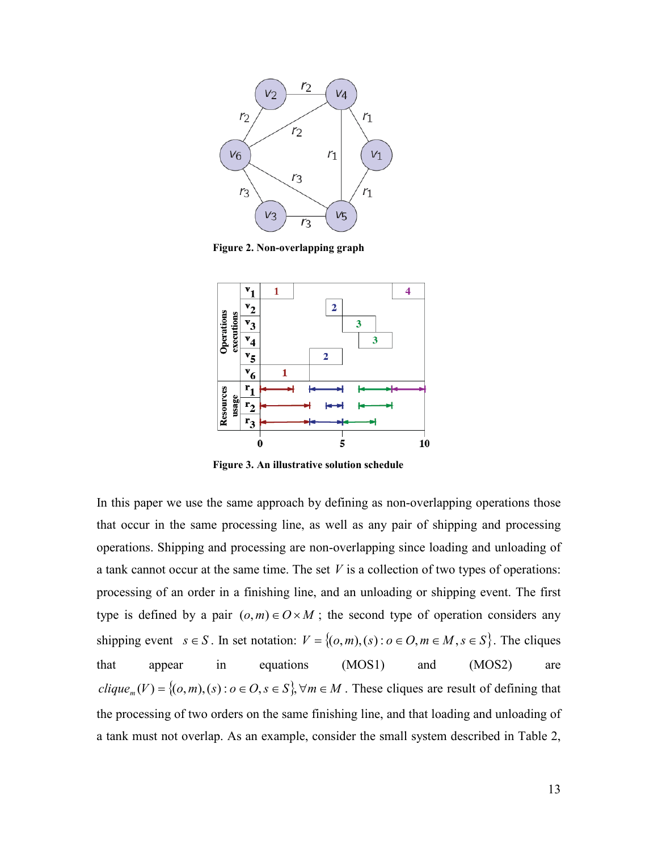

**Figure 2. Non-overlapping graph**



**Figure 3. An illustrative solution schedule**

In this paper we use the same approach by defining as non-overlapping operations those that occur in the same processing line, as well as any pair of shipping and processing operations. Shipping and processing are non-overlapping since loading and unloading of a tank cannot occur at the same time. The set *V* is a collection of two types of operations: processing of an order in a finishing line, and an unloading or shipping event. The first type is defined by a pair  $(o, m) \in O \times M$ ; the second type of operation considers any shipping event  $s \in S$ . In set notation:  $V = \{(o, m), (s) : o \in O, m \in M, s \in S\}$ . The cliques that appear in equations (MOS1) and (MOS2) are *clique<sub>m</sub>* (*V*) = { $(o, m)$ ,  $(s)$  :  $o \in O$ ,  $s \in S$ },  $\forall m \in M$ . These cliques are result of defining that the processing of two orders on the same finishing line, and that loading and unloading of a tank must not overlap. As an example, consider the small system described in Table 2,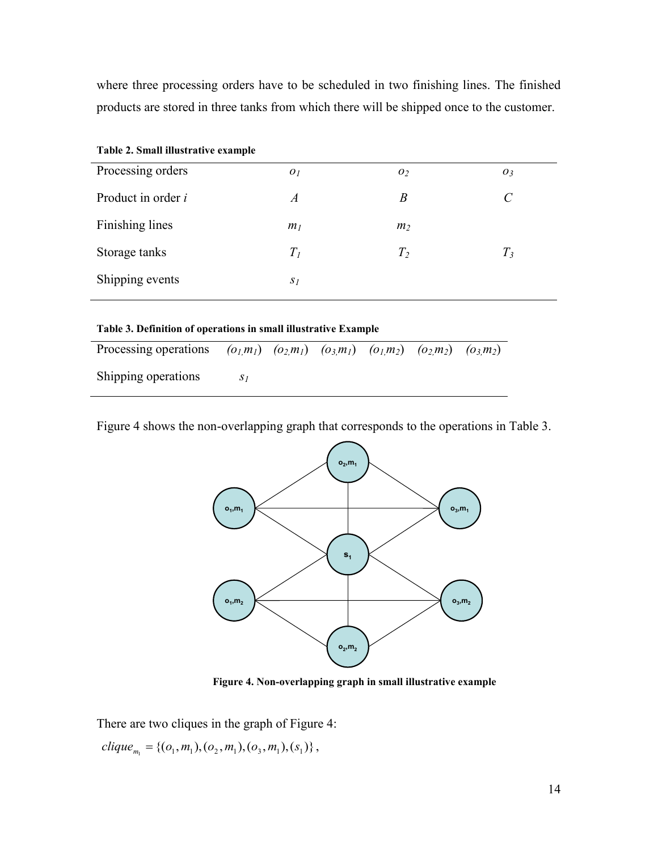where three processing orders have to be scheduled in two finishing lines. The finished products are stored in three tanks from which there will be shipped once to the customer.

| Processing orders    | O <sub>l</sub> | $\mathbf{0}_2$ | $O_3$ |
|----------------------|----------------|----------------|-------|
| Product in order $i$ | $\overline{A}$ | B              |       |
| Finishing lines      | m <sub>I</sub> | m <sub>2</sub> |       |
| Storage tanks        | $T_I$          | T <sub>2</sub> | $T_3$ |
| Shipping events      | $S_I$          |                |       |

**Table 3. Definition of operations in small illustrative Example**

| Processing operations $(o_l, m_l)$ $(o_2, m_l)$ $(o_3, m_l)$ $(o_l, m_2)$ $(o_2, m_2)$ |     |  |  | $(O_3 m_2)$ |
|----------------------------------------------------------------------------------------|-----|--|--|-------------|
| Shipping operations                                                                    | S 1 |  |  |             |

Figure 4 shows the non-overlapping graph that corresponds to the operations in Table 3.



**Figure 4. Non-overlapping graph in small illustrative example**

There are two cliques in the graph of Figure 4:

 ${clique_{m_1} = \{(o_1, m_1), (o_2, m_1), (o_3, m_1), (s_1)\}},$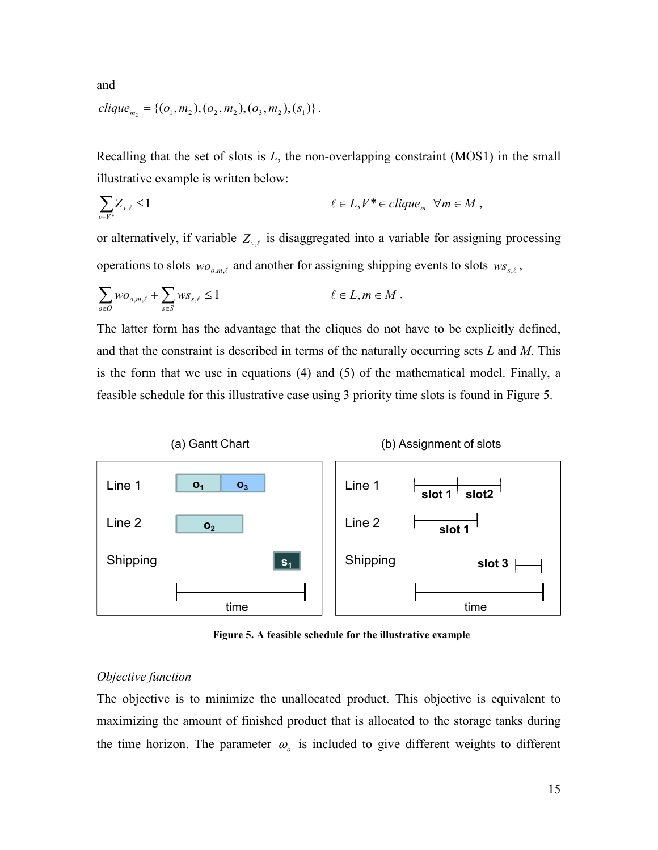and

$$
clique_{m_2} = \{ (o_1, m_2), (o_2, m_2), (o_3, m_2), (s_1) \}.
$$

Recalling that the set of slots is *L*, the non-overlapping constraint (MOS1) in the small illustrative example is written below:

$$
\sum_{v \in V^*} Z_{v,\ell} \le 1 \qquad \qquad \ell \in L, V^* \in clique_m \ \forall m \in M \ ,
$$

or alternatively, if variable  $Z_{v,\ell}$  is disaggregated into a variable for assigning processing operations to slots  $wo_{o,m,\ell}$  and another for assigning shipping events to slots  $ws_{s,\ell}$ ,

$$
\sum_{o\in O}wo_{o,m,\ell}+\sum_{s\in S}ws_{s,\ell}\leq 1 \qquad \qquad \ell\in L, m\in M\;.
$$

The latter form has the advantage that the cliques do not have to be explicitly defined, and that the constraint is described in terms of the naturally occurring sets *L* and *M*. This is the form that we use in equations (4) and (5) of the mathematical model. Finally, a feasible schedule for this illustrative case using 3 priority time slots is found in Figure 5.



**Figure 5. A feasible schedule for the illustrative example**

#### *Objective function*

The objective is to minimize the unallocated product. This objective is equivalent to maximizing the amount of finished product that is allocated to the storage tanks during the time horizon. The parameter  $\omega$ <sub>o</sub> is included to give different weights to different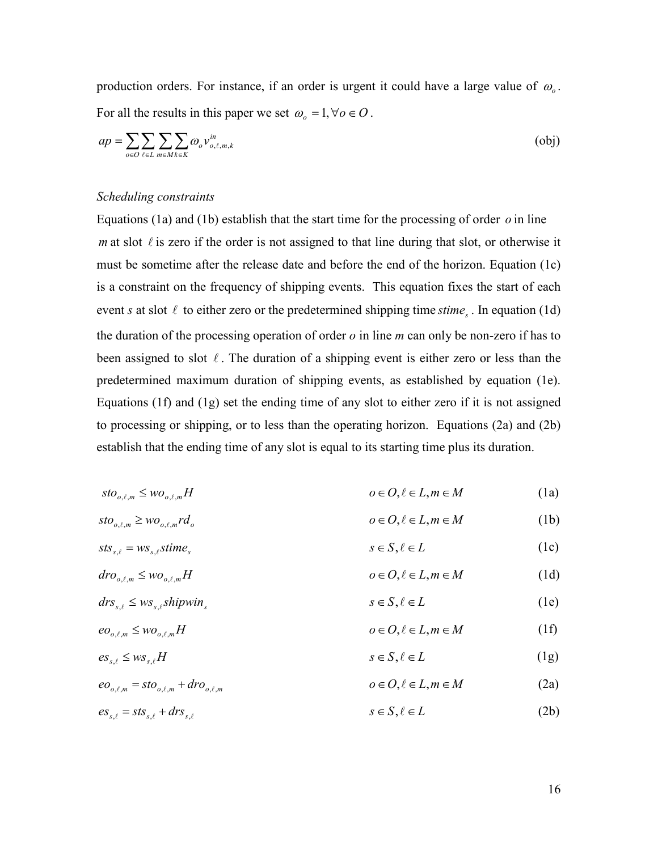production orders. For instance, if an order is urgent it could have a large value of <sup>ω</sup>*<sup>o</sup>* . For all the results in this paper we set  $\omega_o = 1, \forall o \in O$ .

$$
ap = \sum_{o \in O} \sum_{\ell \in L} \sum_{m \in M} \sum_{k \in K} \omega_o v_{o, \ell, m, k}^{in} \tag{obj}
$$

#### *Scheduling constraints*

Equations (1a) and (1b) establish that the start time for the processing of order *o* in line *m* at slot  $\ell$  is zero if the order is not assigned to that line during that slot, or otherwise it must be sometime after the release date and before the end of the horizon. Equation (1c) is a constraint on the frequency of shipping events. This equation fixes the start of each event *s* at slot  $\ell$  to either zero or the predetermined shipping time *stime*. In equation (1d) the duration of the processing operation of order *o* in line *m* can only be non-zero if has to been assigned to slot  $\ell$ . The duration of a shipping event is either zero or less than the predetermined maximum duration of shipping events, as established by equation (1e). Equations (1f) and (1g) set the ending time of any slot to either zero if it is not assigned to processing or shipping, or to less than the operating horizon. Equations (2a) and (2b) establish that the ending time of any slot is equal to its starting time plus its duration.

 $sto_{o,\ell,m} \leq wo_{o,\ell,m}$ *H*  $o \in O, \ell \in L, m \in M$  (1a)

$$
sto_{o,\ell,m} \geq wo_{o,\ell,m}rd_o \qquad \qquad o \in O, \ell \in L, m \in M \qquad (1b)
$$

$$
sts_{s,\ell} = ws_{s,\ell}stime_s \qquad \qquad s \in S, \ell \in L \qquad (1c)
$$

$$
dro_{o,\ell,m} \leq w o_{o,\ell,m} H \qquad o \in O, \ell \in L, m \in M \qquad (1d)
$$

$$
dr s_{s,\ell} \le ws_{s,\ell} shipwin_s \qquad \qquad s \in S, \ell \in L \tag{1e}
$$

$$
eo_{o,\ell,m} \leq w o_{o,\ell,m} H \qquad o \in O, \ell \in L, m \in M \qquad (1f)
$$

$$
es_{s,\ell} \le ws_{s,\ell} H \qquad \qquad s \in S, \ell \in L \tag{1g}
$$

$$
eo_{o,\ell,m} = sto_{o,\ell,m} + dro_{o,\ell,m}
$$
\n
$$
o \in O, \ell \in L, m \in M
$$
\n
$$
es_{s,\ell} = sts_{s,\ell} + drs_{s,\ell}
$$
\n
$$
s \in S, \ell \in L
$$
\n(2b)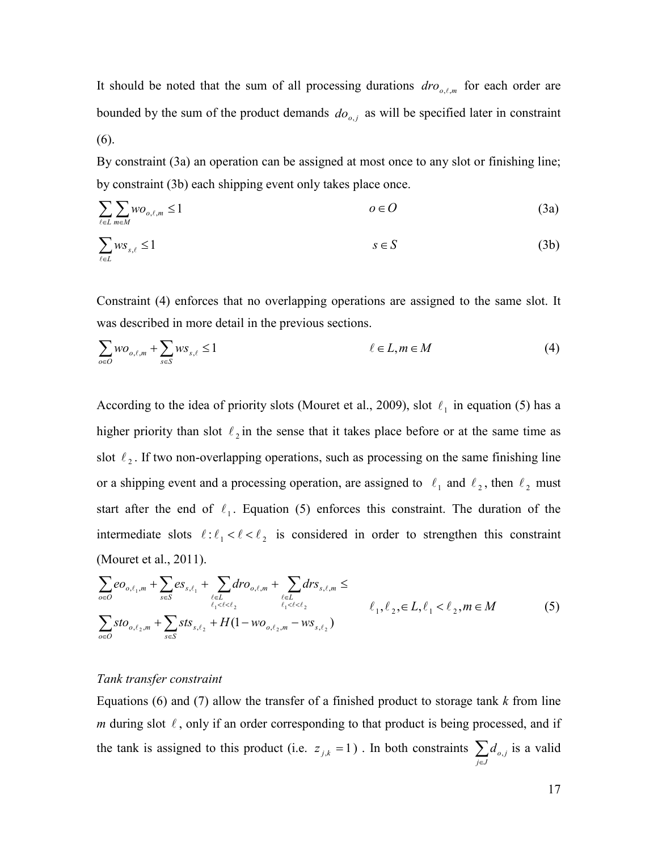It should be noted that the sum of all processing durations  $\text{d}ro_{o,\ell,m}$  for each order are bounded by the sum of the product demands  $do_{o,j}$  as will be specified later in constraint (6).

By constraint (3a) an operation can be assigned at most once to any slot or finishing line; by constraint (3b) each shipping event only takes place once.

$$
\sum_{\ell \in L} \sum_{m \in M} w \sigma_{\sigma, \ell, m} \le 1
$$
\n
$$
\sigma \in O
$$
\n
$$
\sum_{\ell \in L} w s_{s, \ell} \le 1
$$
\n
$$
s \in S
$$
\n(3b)

Constraint (4) enforces that no overlapping operations are assigned to the same slot. It was described in more detail in the previous sections.

$$
\sum_{o \in O} w o_{o, \ell, m} + \sum_{s \in S} w s_{s, \ell} \le 1 \qquad \qquad \ell \in L, m \in M \tag{4}
$$

According to the idea of priority slots (Mouret et al., 2009), slot  $\ell_1$  in equation (5) has a higher priority than slot  $\ell_2$  in the sense that it takes place before or at the same time as slot  $\ell_2$ . If two non-overlapping operations, such as processing on the same finishing line or a shipping event and a processing operation, are assigned to  $\ell_1$  and  $\ell_2$ , then  $\ell_2$  must start after the end of  $\ell_1$ . Equation (5) enforces this constraint. The duration of the intermediate slots  $\ell : \ell_1 < \ell < \ell_2$  is considered in order to strengthen this constraint (Mouret et al., 2011).

$$
\sum_{o\in O} eo_{o,\ell_1,m} + \sum_{s\in S} es_{s,\ell_1} + \sum_{\ell \in L \atop \ell_1 < \ell \leq \ell_2} dro_{o,\ell,m} + \sum_{\ell \in L \atop \ell_1 < \ell \leq \ell_2} drs_{s,\ell,m} \leq
$$
\n
$$
\sum_{o\in O} sto_{o,\ell_2,m} + \sum_{s\in S} sts_{s,\ell_2} + H(1 - wo_{o,\ell_2,m} - ws_{s,\ell_2}) \qquad \qquad \ell_1, \ell_2, \in L, \ell_1 < \ell_2, m \in M \tag{5}
$$

### *Tank transfer constraint*

Equations (6) and (7) allow the transfer of a finished product to storage tank *k* from line *m* during slot  $\ell$ , only if an order corresponding to that product is being processed, and if the tank is assigned to this product (i.e.  $z_{j,k} = 1$ ). In both constraints  $\sum_{j \in J}$  $d_{o,j}$  is a valid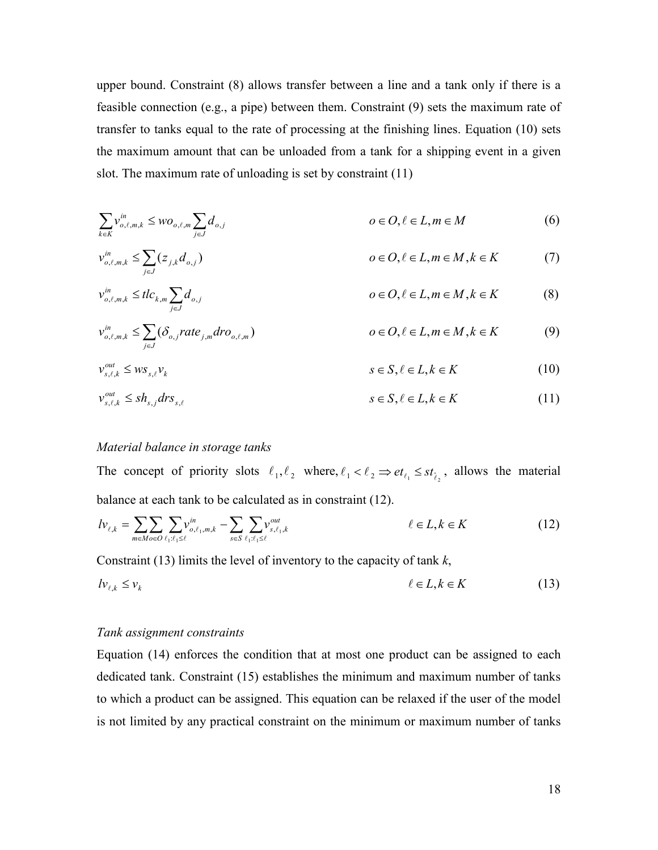upper bound. Constraint (8) allows transfer between a line and a tank only if there is a feasible connection (e.g., a pipe) between them. Constraint (9) sets the maximum rate of transfer to tanks equal to the rate of processing at the finishing lines. Equation (10) sets the maximum amount that can be unloaded from a tank for a shipping event in a given slot. The maximum rate of unloading is set by constraint (11)

$$
\sum_{k \in K} v_{o,\ell,m,k}^{in} \leq w o_{o,\ell,m} \sum_{j \in J} d_{o,j} \qquad \qquad o \in O, \ell \in L, m \in M \tag{6}
$$

$$
v_{o,\ell,m,k}^{in} \leq \sum_{j \in J} (z_{j,k} d_{o,j}) \qquad \qquad o \in O, \ell \in L, m \in M, k \in K \qquad (7)
$$

$$
v_{o,\ell,m,k}^{in} \leq tl_{k,m} \sum_{j \in J} d_{o,j} \qquad \qquad o \in O, \ell \in L, m \in M, k \in K \qquad (8)
$$

$$
v_{o,\ell,m,k}^{in} \le \sum_{j \in J} (\delta_{o,j} rate_{j,m} dro_{o,\ell,m}) \qquad \qquad o \in O, \ell \in L, m \in M, k \in K \qquad (9)
$$

$$
v_{s,\ell,k}^{out} \le ws_{s,\ell} v_k \tag{10}
$$

$$
v_{s,\ell,k}^{out} \le sh_{s,j} drs_{s,\ell} \tag{11}
$$

#### *Material balance in storage tanks*

The concept of priority slots  $\ell_1, \ell_2$  where,  $\ell_1 < \ell_2 \Rightarrow et_{\ell_1} \leq st_{\ell_2}$ , allows the material balance at each tank to be calculated as in constraint (12).

$$
lv_{\ell,k} = \sum_{m \in M} \sum_{o \in O} \sum_{\ell_1: \ell_1 \leq \ell} v_{o,\ell_1,m,k}^{in} - \sum_{s \in S} \sum_{\ell_1: \ell_1 \leq \ell} v_{s,\ell_1,k}^{out} \qquad \ell \in L, k \in K
$$
 (12)

Constraint (13) limits the level of inventory to the capacity of tank *k*,

$$
lv_{\ell,k} \leq v_k \tag{13}
$$

#### *Tank assignment constraints*

Equation (14) enforces the condition that at most one product can be assigned to each dedicated tank. Constraint (15) establishes the minimum and maximum number of tanks to which a product can be assigned. This equation can be relaxed if the user of the model is not limited by any practical constraint on the minimum or maximum number of tanks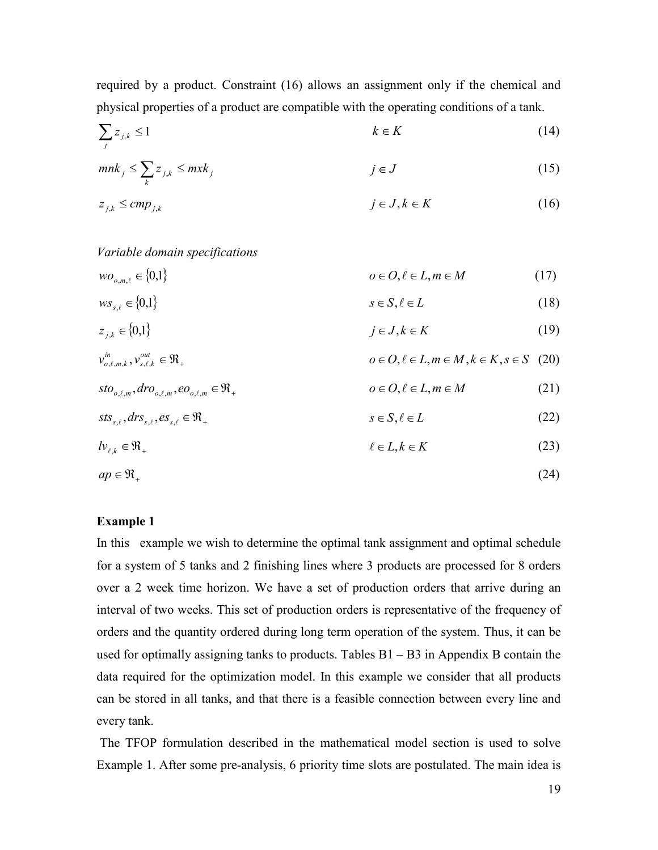required by a product. Constraint (16) allows an assignment only if the chemical and physical properties of a product are compatible with the operating conditions of a tank.

$$
\sum_{j} z_{j,k} \le 1 \tag{14}
$$

$$
mnk_j \le \sum_k z_{j,k} \le mxk_j \qquad j \in J \tag{15}
$$

$$
z_{j,k} \le \operatorname{cmp}_{j,k} \qquad \qquad j \in J, k \in K \tag{16}
$$

*Variable domain specifications*

- *wo*<sub>o</sub><sub>*m*</sub>,∈ {0,1} *o*∈*O*,  $\ell$  ∈ *L*,*m* ∈ *M* (17)
- *ws*<sub>*s*,*ℓ*</sub> ∈ {0,1} *s* ∈ *S*, *l* ∈ *L* (18)

$$
z_{j,k} \in \{0,1\} \qquad j \in J, k \in K \tag{19}
$$

$$
v_{o,\ell,m,k}^{in}, v_{s,\ell,k}^{out} \in \mathfrak{R}_+ \qquad o \in O, \ell \in L, m \in M, k \in K, s \in S \quad (20)
$$

$$
sto_{o,\ell,m}, dro_{o,\ell,m},eo_{o,\ell,m} \in \mathfrak{R}_+ \qquad \qquad o \in O, \ell \in L, m \in M \qquad (21)
$$

$$
sts_{s,\ell}, drs_{s,\ell}, es_{s,\ell} \in \mathfrak{R}_+ \qquad \qquad s \in S, \ell \in L \tag{22}
$$

$$
lv_{\ell,k} \in \mathfrak{R}_+ \qquad \ell \in L, k \in K \tag{23}
$$
  
ap  $\in \mathfrak{R}_+$ 

#### **Example 1**

In this example we wish to determine the optimal tank assignment and optimal schedule for a system of 5 tanks and 2 finishing lines where 3 products are processed for 8 orders over a 2 week time horizon. We have a set of production orders that arrive during an interval of two weeks. This set of production orders is representative of the frequency of orders and the quantity ordered during long term operation of the system. Thus, it can be used for optimally assigning tanks to products. Tables B1 – B3 in Appendix B contain the data required for the optimization model. In this example we consider that all products can be stored in all tanks, and that there is a feasible connection between every line and every tank.

The TFOP formulation described in the mathematical model section is used to solve Example 1. After some pre-analysis, 6 priority time slots are postulated. The main idea is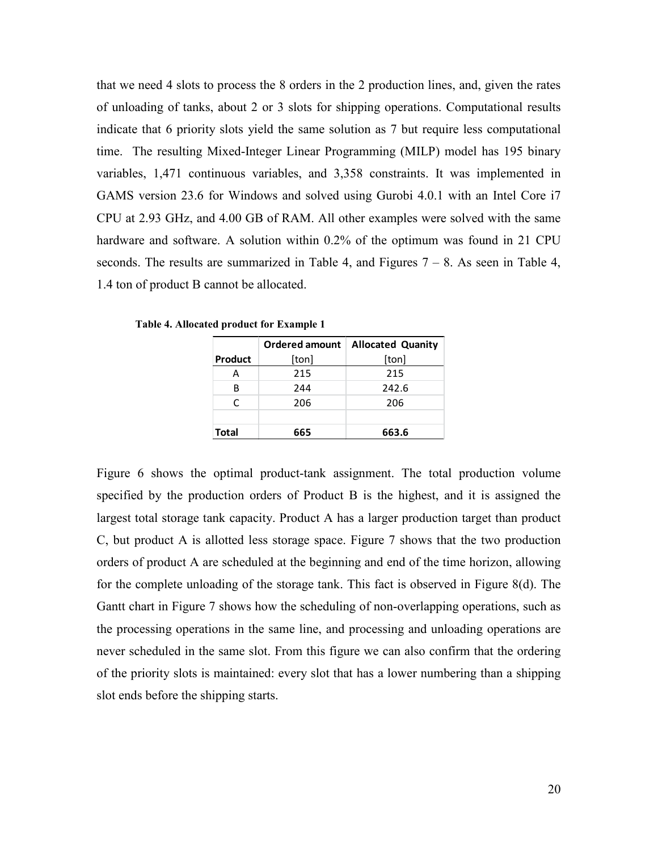that we need 4 slots to process the 8 orders in the 2 production lines, and, given the rates of unloading of tanks, about 2 or 3 slots for shipping operations. Computational results indicate that 6 priority slots yield the same solution as 7 but require less computational time. The resulting Mixed-Integer Linear Programming (MILP) model has 195 binary variables, 1,471 continuous variables, and 3,358 constraints. It was implemented in GAMS version 23.6 for Windows and solved using Gurobi 4.0.1 with an Intel Core i7 CPU at 2.93 GHz, and 4.00 GB of RAM. All other examples were solved with the same hardware and software. A solution within 0.2% of the optimum was found in 21 CPU seconds. The results are summarized in Table 4, and Figures  $7 - 8$ . As seen in Table 4, 1.4 ton of product B cannot be allocated.

|              | <b>Ordered amount</b> | <b>Allocated Quanity</b> |
|--------------|-----------------------|--------------------------|
| Product      | [ton]                 | [ton]                    |
| А            | 215                   | 215                      |
| B            | 244                   | 242.6                    |
| C            | 206                   | 206                      |
|              |                       |                          |
| <b>Total</b> | 665                   | 663.6                    |

**Table 4. Allocated product for Example 1** 

Figure 6 shows the optimal product-tank assignment. The total production volume specified by the production orders of Product B is the highest, and it is assigned the largest total storage tank capacity. Product A has a larger production target than product C, but product A is allotted less storage space. Figure 7 shows that the two production orders of product A are scheduled at the beginning and end of the time horizon, allowing for the complete unloading of the storage tank. This fact is observed in Figure 8(d). The Gantt chart in Figure 7 shows how the scheduling of non-overlapping operations, such as the processing operations in the same line, and processing and unloading operations are never scheduled in the same slot. From this figure we can also confirm that the ordering of the priority slots is maintained: every slot that has a lower numbering than a shipping slot ends before the shipping starts.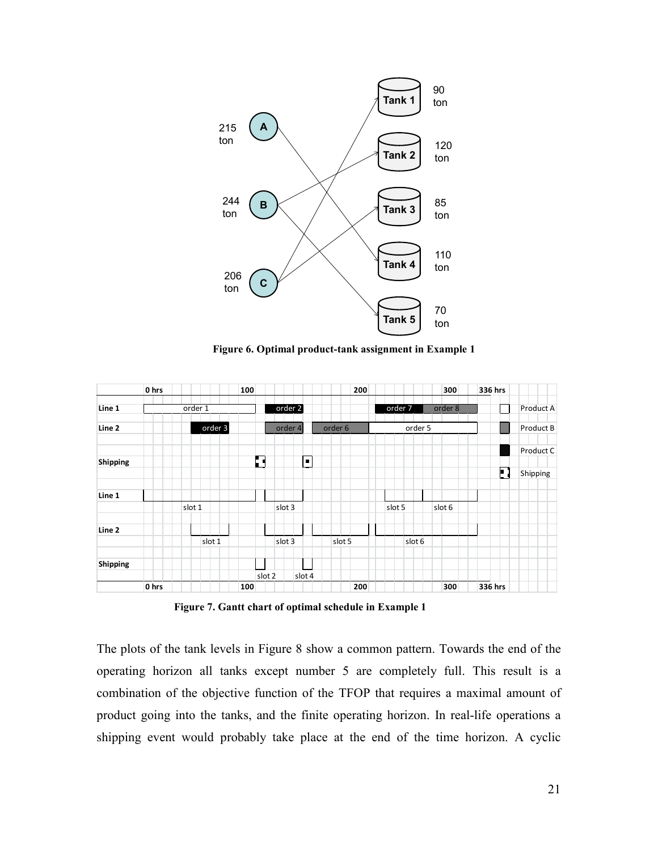

**Figure 6. Optimal product-tank assignment in Example 1**

|          | 0 hrs |         | 100    |                |                    | 200 |         | 300     | 336 hrs |           |
|----------|-------|---------|--------|----------------|--------------------|-----|---------|---------|---------|-----------|
| Line 1   |       | order 1 |        | order 2        |                    |     | order 7 | order 8 |         | Product A |
| Line 2   |       | order 3 |        | order 4        | order <sub>6</sub> |     | order 5 |         |         | Product B |
|          |       |         | П      | $\blacksquare$ |                    |     |         |         |         | Product C |
| Shipping |       |         |        |                |                    |     |         |         | П       | Shipping  |
| Line 1   |       |         |        |                |                    |     |         |         |         |           |
|          |       | slot 1  |        | slot 3         |                    |     | slot 5  | slot 6  |         |           |
| Line 2   |       |         |        |                |                    |     |         |         |         |           |
|          |       | slot 1  |        | slot 3         | slot 5             |     | slot 6  |         |         |           |
| Shipping |       |         |        |                |                    |     |         |         |         |           |
|          |       |         | slot 2 | slot 4         |                    |     |         |         |         |           |
|          | 0 hrs |         | 100    |                |                    | 200 |         | 300     | 336 hrs |           |

**Figure 7. Gantt chart of optimal schedule in Example 1**

The plots of the tank levels in Figure 8 show a common pattern. Towards the end of the operating horizon all tanks except number 5 are completely full. This result is a combination of the objective function of the TFOP that requires a maximal amount of product going into the tanks, and the finite operating horizon. In real-life operations a shipping event would probably take place at the end of the time horizon. A cyclic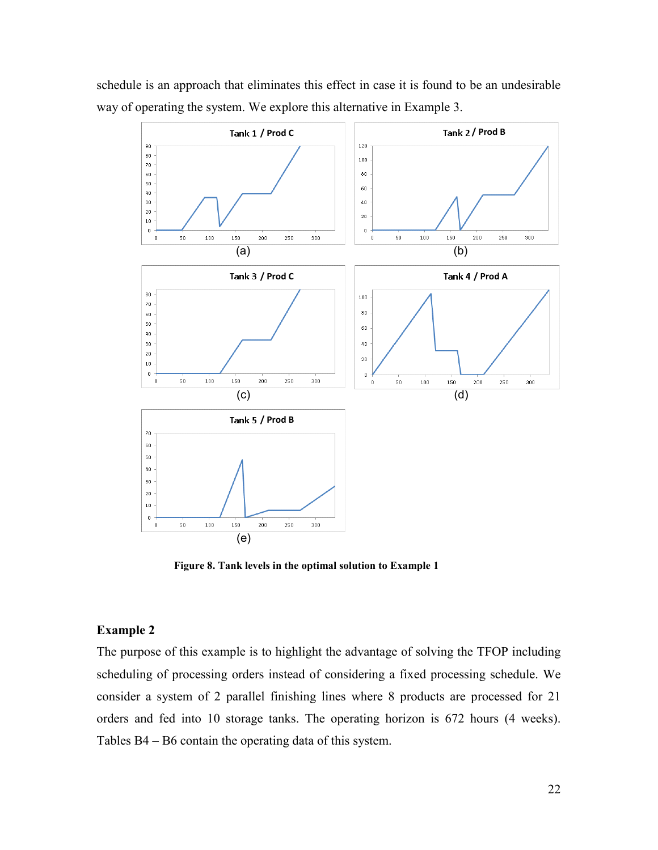

schedule is an approach that eliminates this effect in case it is found to be an undesirable way of operating the system. We explore this alternative in Example 3.

**Figure 8. Tank levels in the optimal solution to Example 1**

#### **Example 2**

The purpose of this example is to highlight the advantage of solving the TFOP including scheduling of processing orders instead of considering a fixed processing schedule. We consider a system of 2 parallel finishing lines where 8 products are processed for 21 orders and fed into 10 storage tanks. The operating horizon is 672 hours (4 weeks). Tables B4 – B6 contain the operating data of this system.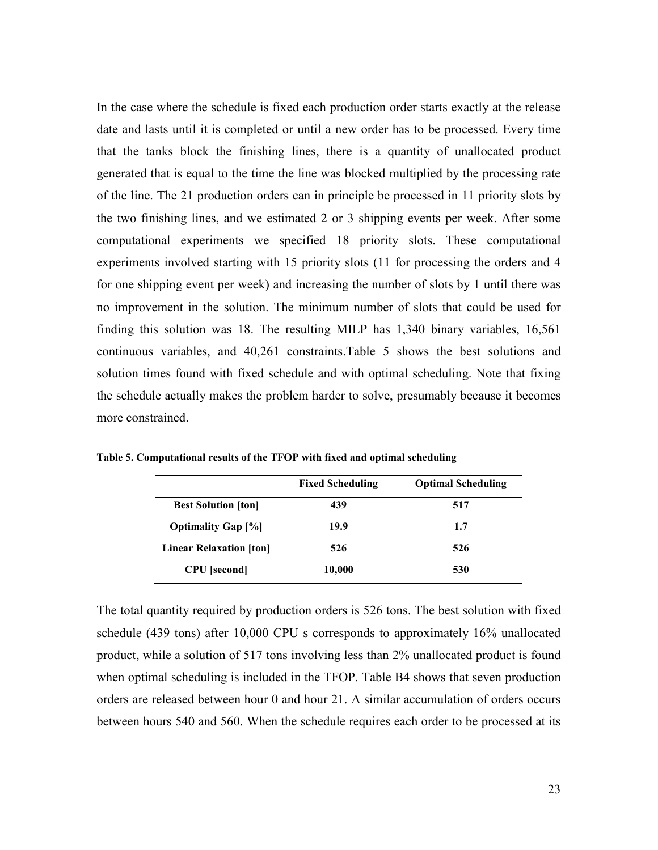In the case where the schedule is fixed each production order starts exactly at the release date and lasts until it is completed or until a new order has to be processed. Every time that the tanks block the finishing lines, there is a quantity of unallocated product generated that is equal to the time the line was blocked multiplied by the processing rate of the line. The 21 production orders can in principle be processed in 11 priority slots by the two finishing lines, and we estimated 2 or 3 shipping events per week. After some computational experiments we specified 18 priority slots. These computational experiments involved starting with 15 priority slots (11 for processing the orders and 4 for one shipping event per week) and increasing the number of slots by 1 until there was no improvement in the solution. The minimum number of slots that could be used for finding this solution was 18. The resulting MILP has 1,340 binary variables, 16,561 continuous variables, and 40,261 constraints.Table 5 shows the best solutions and solution times found with fixed schedule and with optimal scheduling. Note that fixing the schedule actually makes the problem harder to solve, presumably because it becomes more constrained.

|                                | <b>Fixed Scheduling</b> | <b>Optimal Scheduling</b> |
|--------------------------------|-------------------------|---------------------------|
| <b>Best Solution [ton]</b>     | 439                     | 517                       |
| <b>Optimality Gap [%]</b>      | 19.9                    | 1.7                       |
| <b>Linear Relaxation [ton]</b> | 526                     | 526                       |
| <b>CPU</b> [second]            | 10,000                  | 530                       |

**Table 5. Computational results of the TFOP with fixed and optimal scheduling**

The total quantity required by production orders is 526 tons. The best solution with fixed schedule (439 tons) after 10,000 CPU s corresponds to approximately 16% unallocated product, while a solution of 517 tons involving less than 2% unallocated product is found when optimal scheduling is included in the TFOP. Table B4 shows that seven production orders are released between hour 0 and hour 21. A similar accumulation of orders occurs between hours 540 and 560. When the schedule requires each order to be processed at its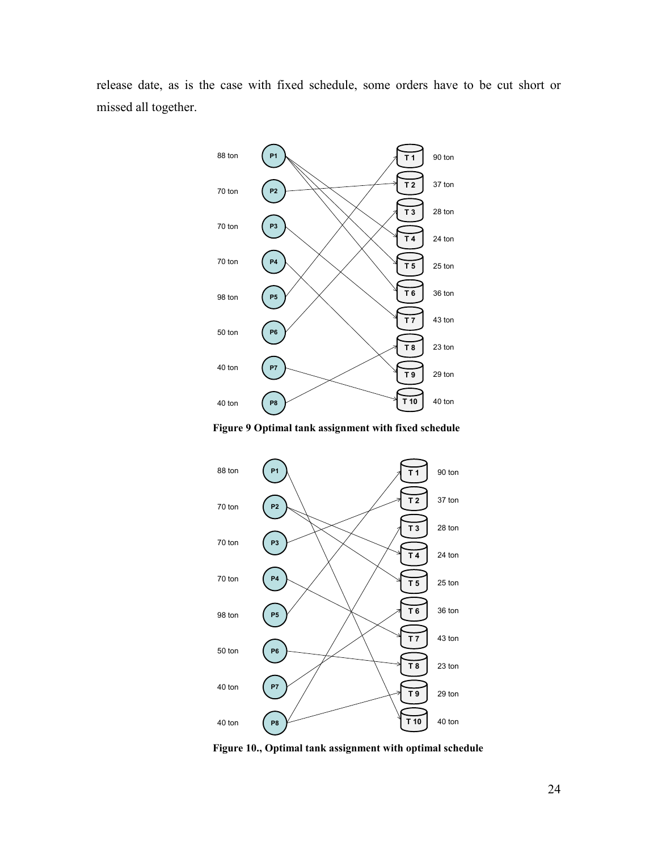release date, as is the case with fixed schedule, some orders have to be cut short or missed all together.



**Figure 9 Optimal tank assignment with fixed schedule**



**Figure 10., Optimal tank assignment with optimal schedule**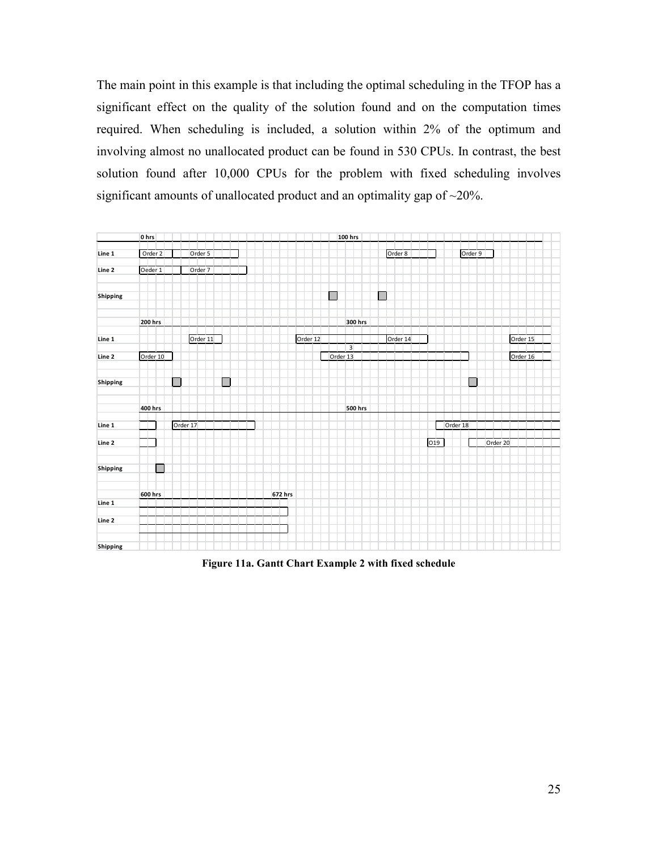The main point in this example is that including the optimal scheduling in the TFOP has a significant effect on the quality of the solution found and on the computation times required. When scheduling is included, a solution within 2% of the optimum and involving almost no unallocated product can be found in 530 CPUs. In contrast, the best solution found after 10,000 CPUs for the problem with fixed scheduling involves significant amounts of unallocated product and an optimality gap of ~20%.



**Figure 11a. Gantt Chart Example 2 with fixed schedule**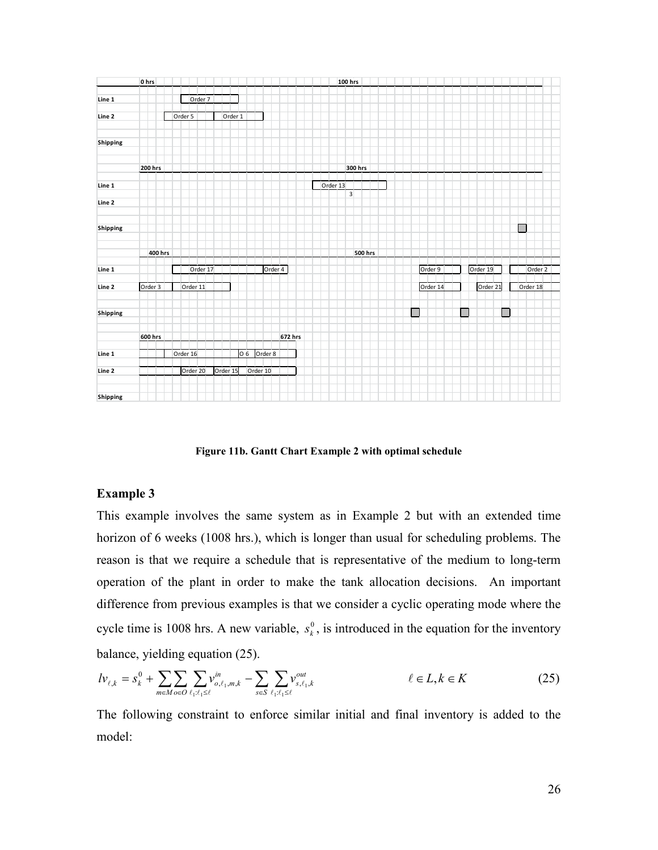

**Figure 11b. Gantt Chart Example 2 with optimal schedule**

#### **Example 3**

This example involves the same system as in Example 2 but with an extended time horizon of 6 weeks (1008 hrs.), which is longer than usual for scheduling problems. The reason is that we require a schedule that is representative of the medium to long-term operation of the plant in order to make the tank allocation decisions. An important difference from previous examples is that we consider a cyclic operating mode where the cycle time is 1008 hrs. A new variable,  $s_k^0$ , is introduced in the equation for the inventory balance, yielding equation (25).

$$
lv_{\ell,k} = s_k^0 + \sum_{m \in M} \sum_{o \in O} \sum_{\ell_1: \ell_1 \leq \ell} v_{o,\ell_1,m,k}^{in} - \sum_{s \in S} \sum_{\ell_1: \ell_1 \leq \ell} v_{s,\ell_1,k}^{out} \qquad \ell \in L, k \in K
$$
 (25)

The following constraint to enforce similar initial and final inventory is added to the model: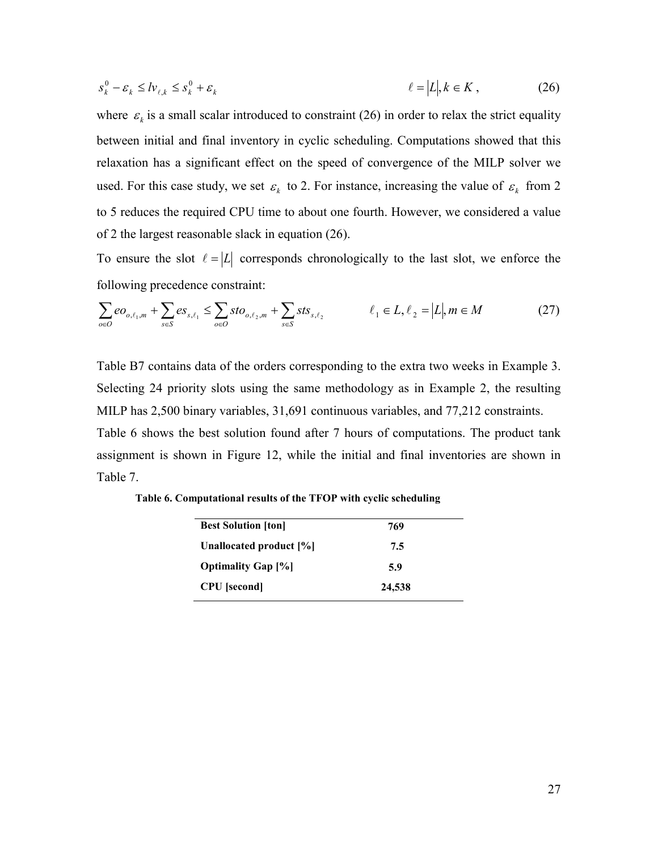$$
s_k^0 - \varepsilon_k \leq l v_{\ell,k} \leq s_k^0 + \varepsilon_k \qquad \qquad \ell = |L|, k \in K \,, \tag{26}
$$

where  $\varepsilon_k$  is a small scalar introduced to constraint (26) in order to relax the strict equality between initial and final inventory in cyclic scheduling. Computations showed that this relaxation has a significant effect on the speed of convergence of the MILP solver we used. For this case study, we set  $\varepsilon_k$  to 2. For instance, increasing the value of  $\varepsilon_k$  from 2 to 5 reduces the required CPU time to about one fourth. However, we considered a value of 2 the largest reasonable slack in equation (26).

To ensure the slot  $\ell = |L|$  corresponds chronologically to the last slot, we enforce the following precedence constraint:

$$
\sum_{o \in O} e_{O_{o,\ell_1,m}} + \sum_{s \in S} e_{S_{s,\ell_1}} \le \sum_{o \in O} st_{O_{o,\ell_2,m}} + \sum_{s \in S} st_{S_{s,\ell_2}} \qquad \ell_1 \in L, \ell_2 = |L|, m \in M \tag{27}
$$

Table B7 contains data of the orders corresponding to the extra two weeks in Example 3. Selecting 24 priority slots using the same methodology as in Example 2, the resulting MILP has 2,500 binary variables, 31,691 continuous variables, and 77,212 constraints. Table 6 shows the best solution found after 7 hours of computations. The product tank assignment is shown in Figure 12, while the initial and final inventories are shown in Table 7.

| <b>Best Solution [ton]</b> | 769    |  |
|----------------------------|--------|--|
| Unallocated product [%]    | 7.5    |  |
| <b>Optimality Gap [%]</b>  | 5.9    |  |
| <b>CPU</b> [second]        | 24,538 |  |

**Table 6. Computational results of the TFOP with cyclic scheduling**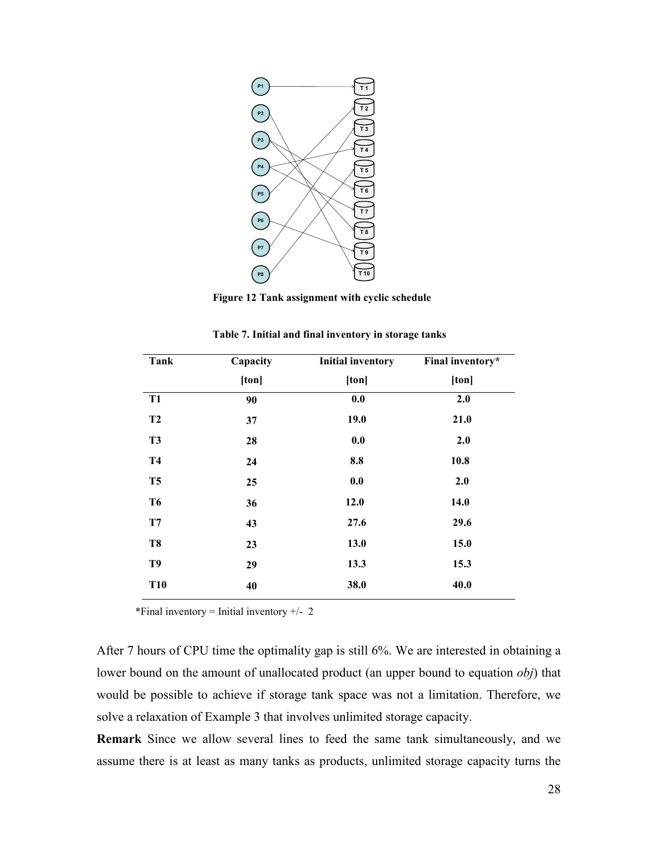

**Figure 12 Tank assignment with cyclic schedule**

| Tank           | Capacity | <b>Initial inventory</b> | Final inventory* |
|----------------|----------|--------------------------|------------------|
|                | [ton]    | [ton]                    | [ton]            |
| <b>T1</b>      | 90       | 0.0                      | 2.0              |
| <b>T2</b>      | 37       | 19.0                     | 21.0             |
| <b>T3</b>      | 28       | 0.0                      | 2.0              |
| <b>T4</b>      | 24       | 8.8                      | 10.8             |
| <b>T5</b>      | 25       | 0.0                      | 2.0              |
| <b>T6</b>      | 36       | 12.0                     | 14.0             |
| T7             | 43       | 27.6                     | 29.6             |
| <b>T8</b>      | 23       | 13.0                     | 15.0             |
| T <sub>9</sub> | 29       | 13.3                     | 15.3             |
| <b>T10</b>     | 40       | 38.0                     | 40.0             |
|                |          |                          |                  |

**Table 7. Initial and final inventory in storage tanks**

\*Final inventory = Initial inventory  $+/- 2$ 

After 7 hours of CPU time the optimality gap is still 6%. We are interested in obtaining a lower bound on the amount of unallocated product (an upper bound to equation *obj*) that would be possible to achieve if storage tank space was not a limitation. Therefore, we solve a relaxation of Example 3 that involves unlimited storage capacity.

**Remark** Since we allow several lines to feed the same tank simultaneously, and we assume there is at least as many tanks as products, unlimited storage capacity turns the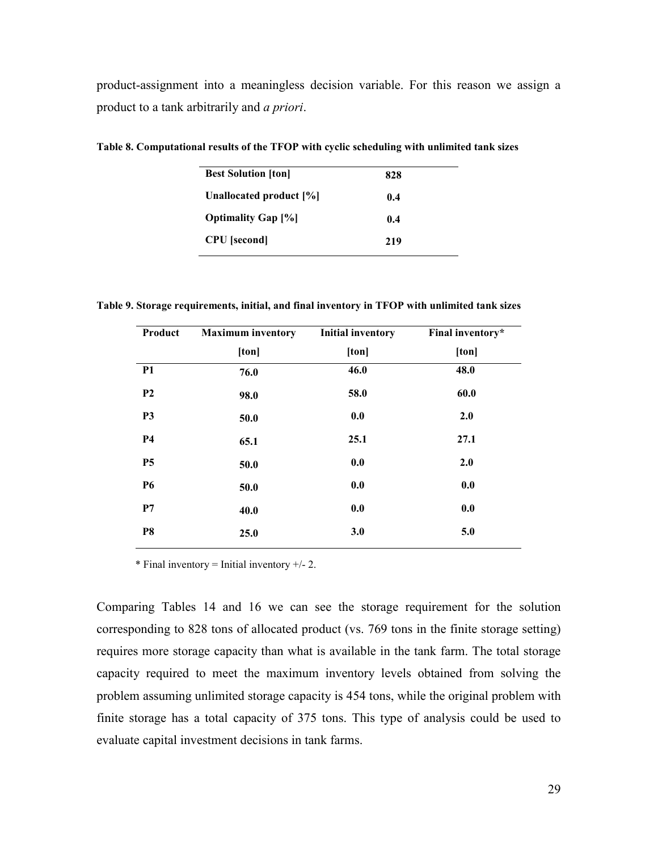product-assignment into a meaningless decision variable. For this reason we assign a product to a tank arbitrarily and *a priori*.

| <b>Best Solution [ton]</b> | 828 |  |
|----------------------------|-----|--|
| Unallocated product [%]    | 0.4 |  |
| <b>Optimality Gap [%]</b>  | 0.4 |  |
| <b>CPU</b> [second]        | 219 |  |

**Table 8. Computational results of the TFOP with cyclic scheduling with unlimited tank sizes**

**Table 9. Storage requirements, initial, and final inventory in TFOP with unlimited tank sizes**

| Product        | <b>Maximum</b> inventory | <b>Initial inventory</b> | Final inventory* |
|----------------|--------------------------|--------------------------|------------------|
|                | [ton]                    | [ton]                    | [ton]            |
| <b>P1</b>      | 76.0                     | 46.0                     | 48.0             |
| P <sub>2</sub> | 98.0                     | 58.0                     | 60.0             |
| <b>P3</b>      | 50.0                     | 0.0                      | 2.0              |
| <b>P4</b>      | 65.1                     | 25.1                     | 27.1             |
| <b>P5</b>      | 50.0                     | 0.0                      | 2.0              |
| <b>P6</b>      | 50.0                     | 0.0                      | 0.0              |
| P7             | 40.0                     | 0.0                      | 0.0              |
| <b>P8</b>      | 25.0                     | 3.0                      | 5.0              |

\* Final inventory = Initial inventory  $+/- 2$ .

Comparing Tables 14 and 16 we can see the storage requirement for the solution corresponding to 828 tons of allocated product (vs. 769 tons in the finite storage setting) requires more storage capacity than what is available in the tank farm. The total storage capacity required to meet the maximum inventory levels obtained from solving the problem assuming unlimited storage capacity is 454 tons, while the original problem with finite storage has a total capacity of 375 tons. This type of analysis could be used to evaluate capital investment decisions in tank farms.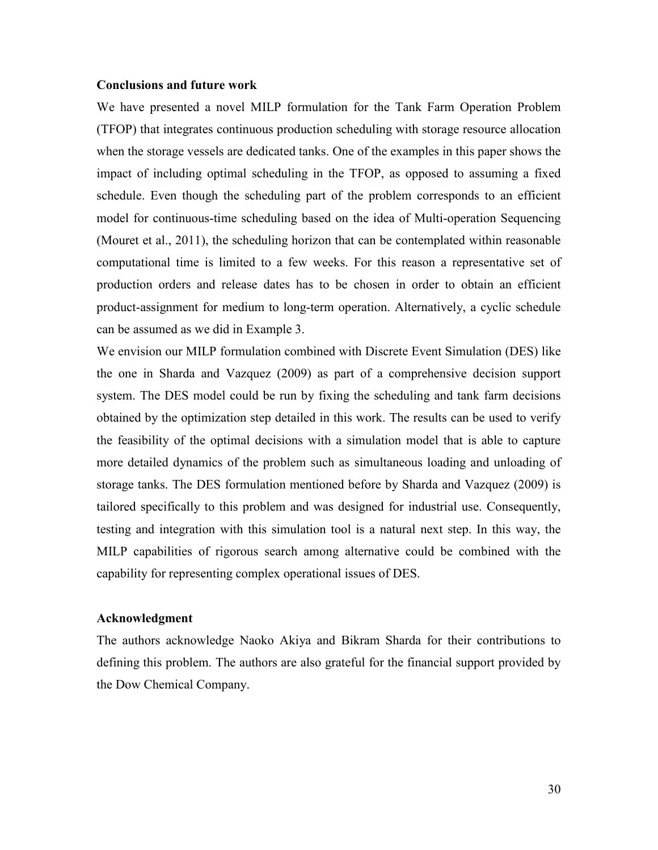#### **Conclusions and future work**

We have presented a novel MILP formulation for the Tank Farm Operation Problem (TFOP) that integrates continuous production scheduling with storage resource allocation when the storage vessels are dedicated tanks. One of the examples in this paper shows the impact of including optimal scheduling in the TFOP, as opposed to assuming a fixed schedule. Even though the scheduling part of the problem corresponds to an efficient model for continuous-time scheduling based on the idea of Multi-operation Sequencing (Mouret et al., 2011), the scheduling horizon that can be contemplated within reasonable computational time is limited to a few weeks. For this reason a representative set of production orders and release dates has to be chosen in order to obtain an efficient product-assignment for medium to long-term operation. Alternatively, a cyclic schedule can be assumed as we did in Example 3.

We envision our MILP formulation combined with Discrete Event Simulation (DES) like the one in Sharda and Vazquez (2009) as part of a comprehensive decision support system. The DES model could be run by fixing the scheduling and tank farm decisions obtained by the optimization step detailed in this work. The results can be used to verify the feasibility of the optimal decisions with a simulation model that is able to capture more detailed dynamics of the problem such as simultaneous loading and unloading of storage tanks. The DES formulation mentioned before by Sharda and Vazquez (2009) is tailored specifically to this problem and was designed for industrial use. Consequently, testing and integration with this simulation tool is a natural next step. In this way, the MILP capabilities of rigorous search among alternative could be combined with the capability for representing complex operational issues of DES.

#### **Acknowledgment**

The authors acknowledge Naoko Akiya and Bikram Sharda for their contributions to defining this problem. The authors are also grateful for the financial support provided by the Dow Chemical Company.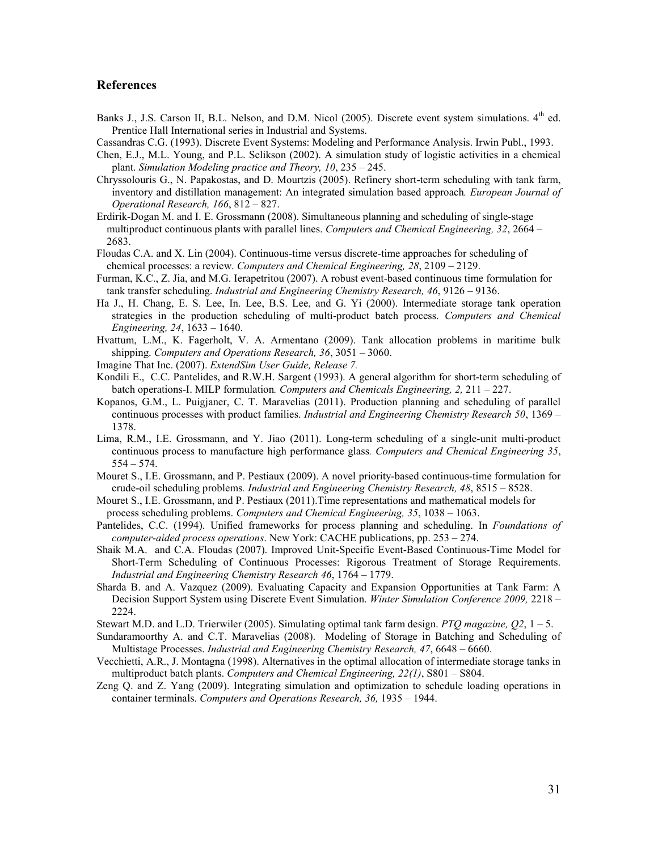#### **References**

- Banks J., J.S. Carson II, B.L. Nelson, and D.M. Nicol (2005). Discrete event system simulations. 4<sup>th</sup> ed. Prentice Hall International series in Industrial and Systems.
- Cassandras C.G. (1993). Discrete Event Systems: Modeling and Performance Analysis. Irwin Publ., 1993.
- Chen, E.J., M.L. Young, and P.L. Selikson (2002). A simulation study of logistic activities in a chemical plant. *Simulation Modeling practice and Theory, 10*, 235 – 245.
- Chryssolouris G., N. Papakostas, and D. Mourtzis (2005). Refinery short-term scheduling with tank farm, inventory and distillation management: An integrated simulation based approach*. European Journal of Operational Research, 166*, 812 – 827.
- Erdirik-Dogan M. and I. E. Grossmann (2008). Simultaneous planning and scheduling of single-stage multiproduct continuous plants with parallel lines. *Computers and Chemical Engineering, 32*, 2664 – 2683.
- Floudas C.A. and X. Lin (2004). Continuous-time versus discrete-time approaches for scheduling of chemical processes: a review. *Computers and Chemical Engineering, 28*, 2109 – 2129.
- Furman, K.C., Z. Jia, and M.G. Ierapetritou (2007). A robust event-based continuous time formulation for tank transfer scheduling. *Industrial and Engineering Chemistry Research, 46*, 9126 – 9136.
- Ha J., H. Chang, E. S. Lee, In. Lee, B.S. Lee, and G. Yi (2000). Intermediate storage tank operation strategies in the production scheduling of multi-product batch process. *Computers and Chemical Engineering, 24*, 1633 – 1640.
- Hvattum, L.M., K. Fagerholt, V. A. Armentano (2009). Tank allocation problems in maritime bulk shipping. *Computers and Operations Research, 36*, 3051 – 3060.
- Imagine That Inc. (2007). *ExtendSim User Guide, Release 7.*
- Kondili E., C.C. Pantelides, and R.W.H. Sargent (1993). A general algorithm for short-term scheduling of batch operations-I. MILP formulation*. Computers and Chemicals Engineering, 2,* 211 – 227.
- Kopanos, G.M., L. Puigjaner, C. T. Maravelias (2011). Production planning and scheduling of parallel continuous processes with product families. *Industrial and Engineering Chemistry Research 50*, 1369 – 1378.
- Lima, R.M., I.E. Grossmann, and Y. Jiao (2011). Long-term scheduling of a single-unit multi-product continuous process to manufacture high performance glass*. Computers and Chemical Engineering 35*, 554 – 574.
- Mouret S., I.E. Grossmann, and P. Pestiaux (2009). A novel priority-based continuous-time formulation for crude-oil scheduling problems*. Industrial and Engineering Chemistry Research, 48*, 8515 – 8528.
- Mouret S., I.E. Grossmann, and P. Pestiaux (2011).Time representations and mathematical models for process scheduling problems. *Computers and Chemical Engineering, 35*, 1038 – 1063.
- Pantelides, C.C. (1994). Unified frameworks for process planning and scheduling. In *Foundations of computer-aided process operations*. New York: CACHE publications, pp. 253 – 274.
- Shaik M.A. and C.A. Floudas (2007). Improved Unit-Specific Event-Based Continuous-Time Model for Short-Term Scheduling of Continuous Processes: Rigorous Treatment of Storage Requirements. *Industrial and Engineering Chemistry Research 46*, 1764 – 1779.
- [Sharda](http://www.informatik.uni-trier.de/~ley/db/indices/a-tree/s/Sharda:Bikram.html) B. and A. Vazquez (2009). Evaluating Capacity and Expansion Opportunities at Tank Farm: A Decision Support System using Discrete Event Simulation. *[Winter Simulation Conference 2009,](http://www.informatik.uni-trier.de/~ley/db/conf/wsc/wsc2009.html#ShardaV09)* 2218 – 2224.
- Stewart M.D. and L.D. Trierwiler (2005). Simulating optimal tank farm design. *PTQ magazine, Q2*, 1 5.
- Sundaramoorthy A. and C.T. Maravelias (2008). Modeling of Storage in Batching and Scheduling of Multistage Processes. *Industrial and Engineering Chemistry Research, 47*, 6648 – 6660.
- Vecchietti, A.R., J. Montagna (1998). Alternatives in the optimal allocation of intermediate storage tanks in multiproduct batch plants. *Computers and Chemical Engineering, 22(1)*, S801 – S804.
- Zeng Q. and Z. Yang (2009). Integrating simulation and optimization to schedule loading operations in container terminals. *Computers and Operations Research, 36,* 1935 – 1944.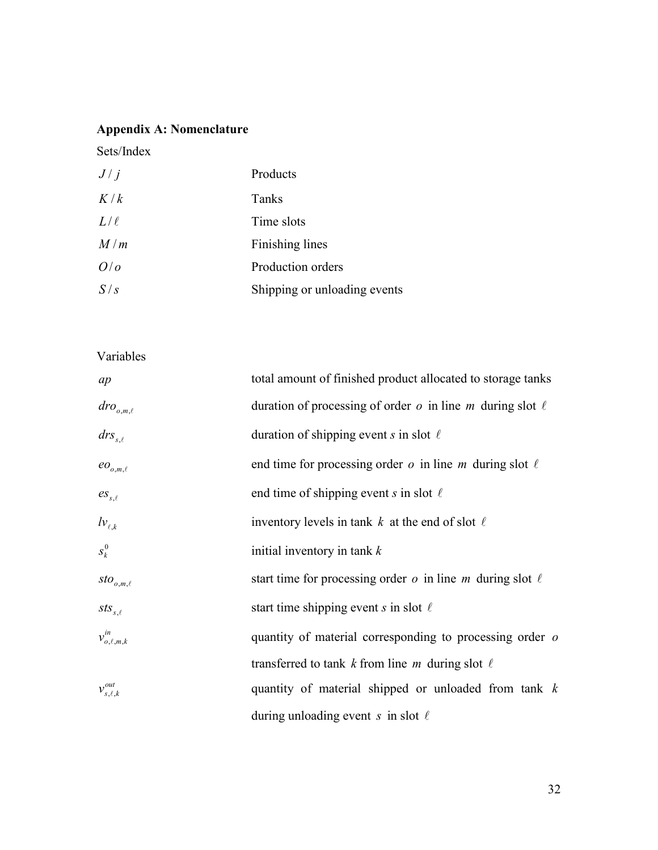## **Appendix A: Nomenclature**

Sets/Index

| J/j      | Products                     |
|----------|------------------------------|
| K/k      | Tanks                        |
| $L/\ell$ | Time slots                   |
| M/m      | Finishing lines              |
| O/O      | Production orders            |
| S/s      | Shipping or unloading events |

Variables

| ap                                           | total amount of finished product allocated to storage tanks             |
|----------------------------------------------|-------------------------------------------------------------------------|
| $dro_{o,m,\ell}$                             | duration of processing of order $o$ in line <i>m</i> during slot $\ell$ |
| $drs_{s,\ell}$                               | duration of shipping event s in slot $\ell$                             |
| $eo_{o,m,\ell}$                              | end time for processing order $o$ in line <i>m</i> during slot $\ell$   |
| $\mathfrak{es}_{s,\ell}$                     | end time of shipping event s in slot $\ell$                             |
| $lv_{\ell,k}$                                | inventory levels in tank $k$ at the end of slot $\ell$                  |
| $S_k^0$                                      | initial inventory in tank $k$                                           |
| $\mathit{sto}_{\scriptscriptstyle o,m,\ell}$ | start time for processing order $o$ in line <i>m</i> during slot $\ell$ |
| $StS_{s,\ell}$                               | start time shipping event s in slot $\ell$                              |
| $v_{o,\ell,m,k}^{in}$                        | quantity of material corresponding to processing order o                |
|                                              | transferred to tank k from line m during slot $\ell$                    |
| $v_{s,\ell,k}^{out}$                         | quantity of material shipped or unloaded from tank $k$                  |
|                                              | during unloading event s in slot $\ell$                                 |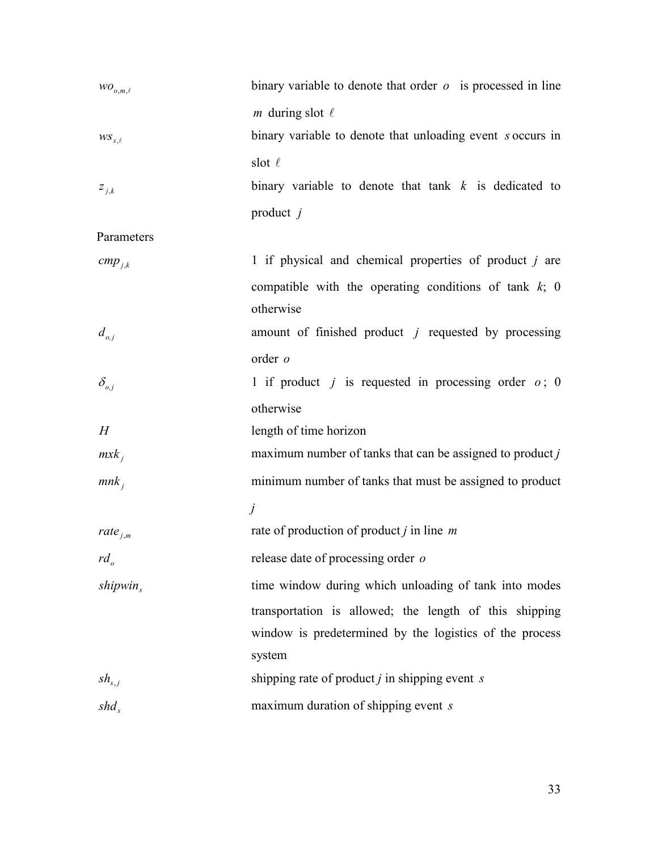| $wo_{o,m,\ell}$                    | binary variable to denote that order $o$ is processed in line         |
|------------------------------------|-----------------------------------------------------------------------|
|                                    | <i>m</i> during slot $\ell$                                           |
| $WS_{s,\ell}$                      | binary variable to denote that unloading event soccurs in             |
|                                    | slot $\ell$                                                           |
| $z_{j,k}$                          | binary variable to denote that tank $k$ is dedicated to               |
|                                    | product $j$                                                           |
| Parameters                         |                                                                       |
| $cmp_{i,k}$                        | 1 if physical and chemical properties of product $j$ are              |
|                                    | compatible with the operating conditions of tank $k$ ; 0<br>otherwise |
| $d_{o,i}$                          | amount of finished product <i>j</i> requested by processing           |
|                                    | order o                                                               |
| $\delta_{\scriptscriptstyle{o.i}}$ | 1 if product $j$ is requested in processing order $o$ ; 0             |
|                                    | otherwise                                                             |
| H                                  | length of time horizon                                                |
| $mxk_i$                            | maximum number of tanks that can be assigned to product $j$           |
| $mnk_i$                            | minimum number of tanks that must be assigned to product              |
|                                    | j                                                                     |
| rate <sub>j,m</sub>                | rate of production of product $j$ in line $m$                         |
| $rd_{\rho}$                        | release date of processing order o                                    |
| shipwin.                           | time window during which unloading of tank into modes                 |
|                                    | transportation is allowed; the length of this shipping                |
|                                    | window is predetermined by the logistics of the process               |
|                                    | system                                                                |
| $sh_{s,j}$                         | shipping rate of product $j$ in shipping event $s$                    |
| shd                                | maximum duration of shipping event $s$                                |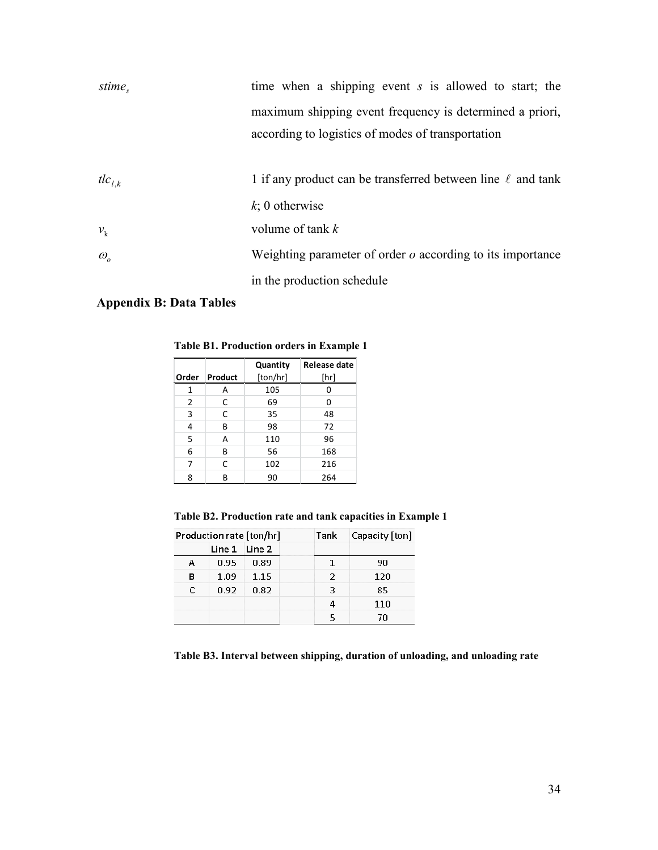| stime,                          | time when a shipping event s is allowed to start; the            |
|---------------------------------|------------------------------------------------------------------|
|                                 | maximum shipping event frequency is determined a priori,         |
|                                 | according to logistics of modes of transportation                |
|                                 |                                                                  |
| $tlc_{l,k}$                     | 1 if any product can be transferred between line $\ell$ and tank |
|                                 | $k$ ; 0 otherwise                                                |
| $v_{k}$                         | volume of tank $k$                                               |
| $\omega_{\scriptscriptstyle o}$ | Weighting parameter of order $o$ according to its importance     |
|                                 | in the production schedule                                       |

## **Appendix B: Data Tables**

|   |               | Quantity | <b>Release date</b> |
|---|---------------|----------|---------------------|
|   | Order Product | [ton/hr] | [hr]                |
| 1 | А             | 105      |                     |
| 2 | C             | 69       | 0                   |
| 3 | C             | 35       | 48                  |
| 4 | В             | 98       | 72                  |
| 5 | А             | 110      | 96                  |
| 6 | В             | 56       | 168                 |
| 7 | C             | 102      | 216                 |
| 8 | в             | 90       | 264                 |

**Table B1. Production orders in Example 1**

**Table B2. Production rate and tank capacities in Example 1**

|   |        | Production rate [ton/hr] | Tank          | Capacity [ton] |
|---|--------|--------------------------|---------------|----------------|
|   | Line 1 | Line 2                   |               |                |
| А | 0.95   | 0.89                     | 1.            | 90             |
| в | 1.09   | 1.15                     | $\mathcal{L}$ | 120            |
| C | 0.92   | 0.82                     | 3             | 85             |
|   |        |                          | 4             | 110            |
|   |        |                          | 5             | 70             |

**Table B3. Interval between shipping, duration of unloading, and unloading rate**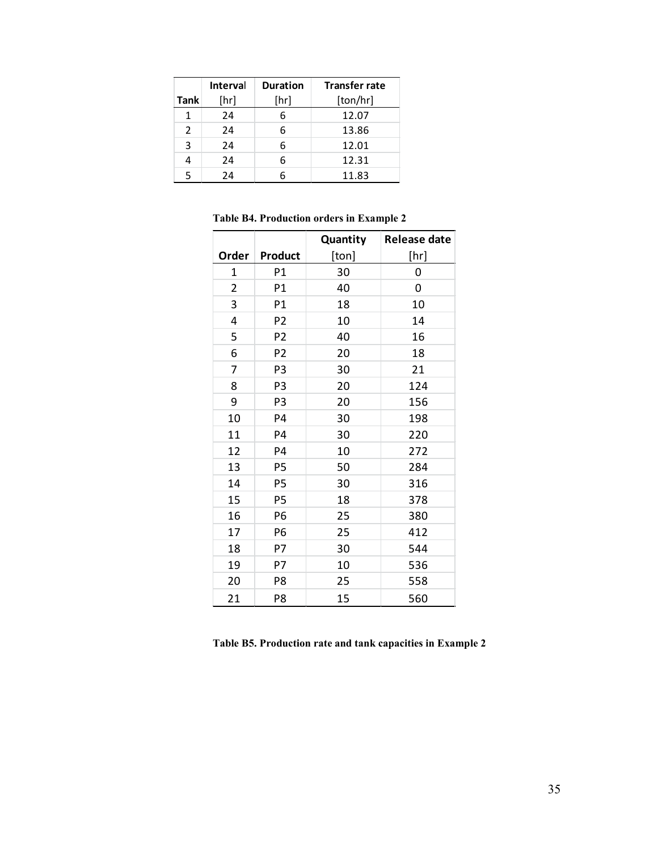|                | <b>Interval</b> | <b>Duration</b> | <b>Transfer rate</b> |
|----------------|-----------------|-----------------|----------------------|
| <b>Tank</b>    | [hr]            | [hr]            | [ton/hr]             |
| 1              | 24              | 6               | 12.07                |
| $\overline{2}$ | 24              | 6               | 13.86                |
| 3              | 24              | 6               | 12.01                |
| Δ              | 24              | 6               | 12.31                |
| 5              | 24              | 6               | 11.83                |

|       |                | Quantity | <b>Release date</b> |
|-------|----------------|----------|---------------------|
| Order | <b>Product</b> | [ton]    | [hr]                |
| 1     | P1             | 30       | 0                   |
| 2     | P1             | 40       | 0                   |
| 3     | P1             | 18       | 10                  |
| 4     | P <sub>2</sub> | 10       | 14                  |
| 5     | P <sub>2</sub> | 40       | 16                  |
| 6     | P <sub>2</sub> | 20       | 18                  |
| 7     | P3             | 30       | 21                  |
| 8     | P3             | 20       | 124                 |
| 9     | P <sub>3</sub> | 20       | 156                 |
| 10    | P <sub>4</sub> | 30       | 198                 |
| 11    | P4             | 30       | 220                 |
| 12    | P4             | 10       | 272                 |
| 13    | P <sub>5</sub> | 50       | 284                 |
| 14    | <b>P5</b>      | 30       | 316                 |
| 15    | P <sub>5</sub> | 18       | 378                 |
| 16    | P <sub>6</sub> | 25       | 380                 |
| 17    | P <sub>6</sub> | 25       | 412                 |
| 18    | P7             | 30       | 544                 |
| 19    | P7             | 10       | 536                 |
| 20    | P8             | 25       | 558                 |
| 21    | P <sub>8</sub> | 15       | 560                 |

**Table B4. Production orders in Example 2**

**Table B5. Production rate and tank capacities in Example 2**